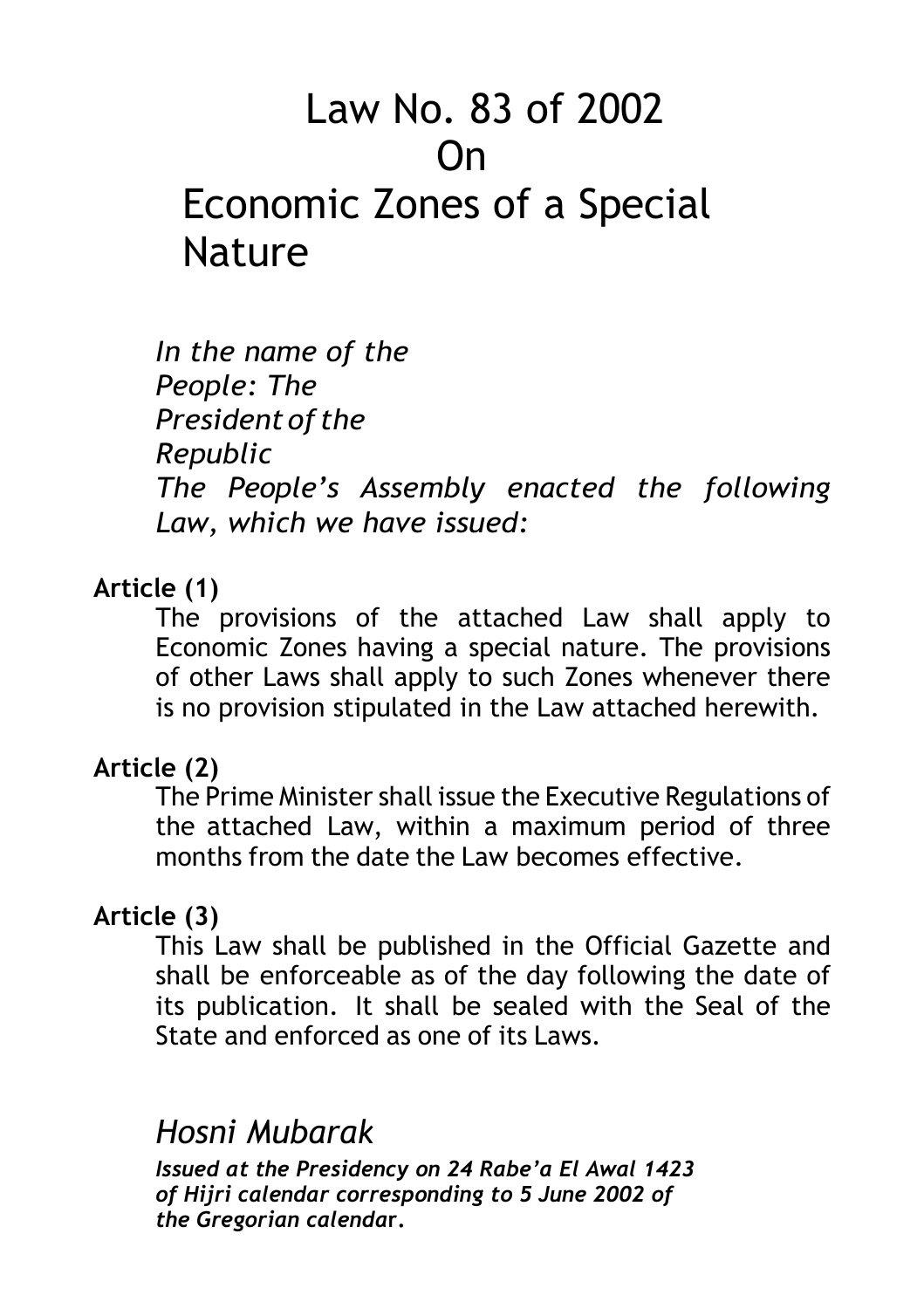# Law No. 83 of 2002 On Economic Zones of a Special **Nature**

*In the name of the People: The President of the Republic The People's Assembly enacted the following Law, which we have issued:*

### **Article (1)**

The provisions of the attached Law shall apply to Economic Zones having a special nature. The provisions of other Laws shall apply to such Zones whenever there is no provision stipulated in the Law attached herewith.

### **Article (2)**

The Prime Minister shall issue the Executive Regulations of the attached Law, within a maximum period of three months from the date the Law becomes effective.

## **Article (3)**

This Law shall be published in the Official Gazette and shall be enforceable as of the day following the date of its publication. It shall be sealed with the Seal of the State and enforced as one of its Laws.

## *Hosni Mubarak*

*Issued at the Presidency on 24 Rabe'a El Awal 1423 of Hijri calendar corresponding to 5 June 2002 of the Gregorian calenda***r.**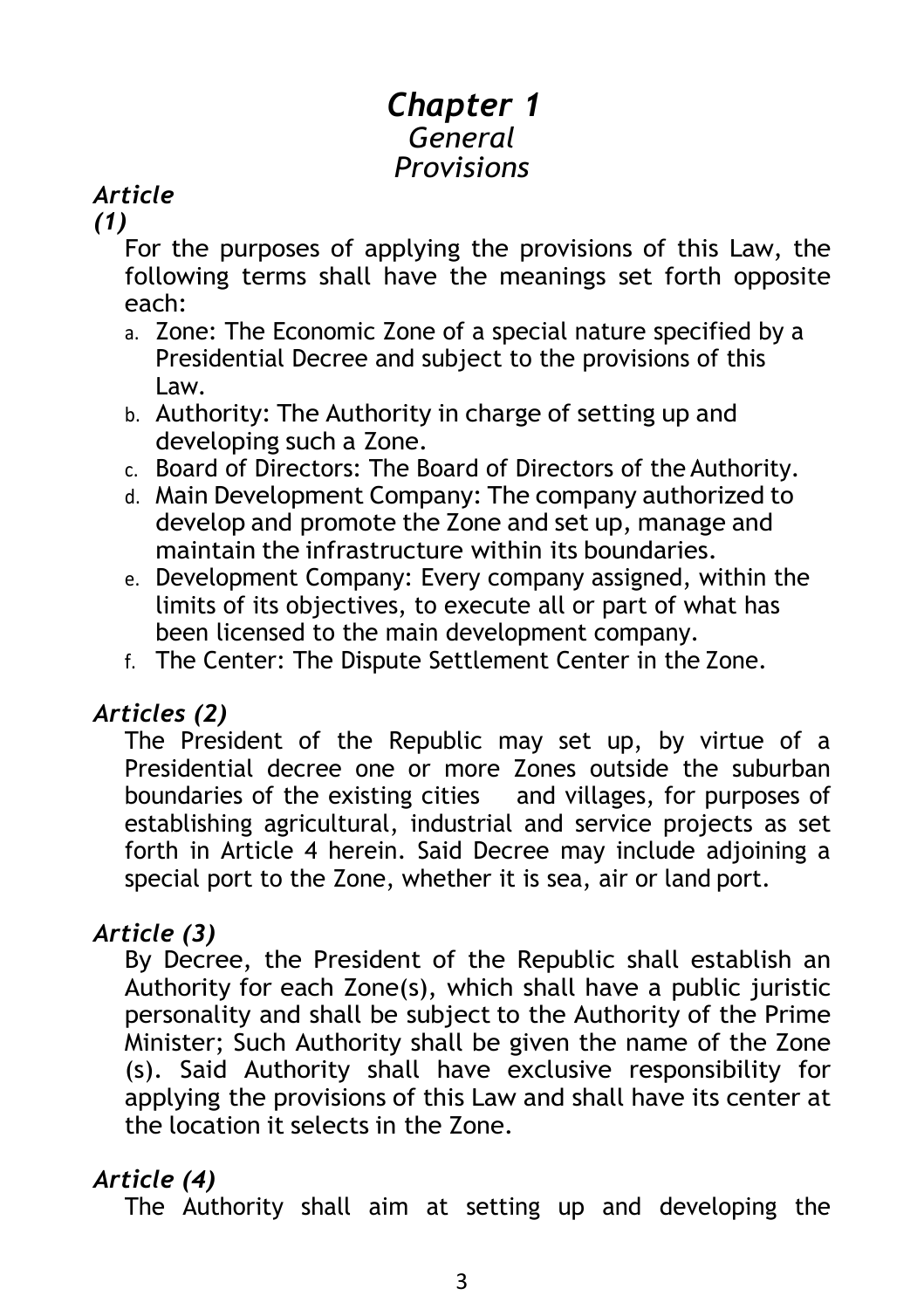## *Chapter 1 General Provisions*

## *Article*

*(1)* 

For the purposes of applying the provisions of this Law, the following terms shall have the meanings set forth opposite each:

- a. Zone: The Economic Zone of a special nature specified by a Presidential Decree and subject to the provisions of this Law.
- b. Authority: The Authority in charge of setting up and developing such a Zone.
- c. Board of Directors: The Board of Directors of the Authority.
- d. Main Development Company: The company authorized to develop and promote the Zone and set up, manage and maintain the infrastructure within its boundaries.
- e. Development Company: Every company assigned, within the limits of its objectives, to execute all or part of what has been licensed to the main development company.
- f. The Center: The Dispute Settlement Center in the Zone.

## *Articles (2)*

The President of the Republic may set up, by virtue of a Presidential decree one or more Zones outside the suburban boundaries of the existing cities and villages, for purposes of establishing agricultural, industrial and service projects as set forth in Article 4 herein. Said Decree may include adjoining a special port to the Zone, whether it is sea, air or land port.

## *Article (3)*

By Decree, the President of the Republic shall establish an Authority for each Zone(s), which shall have a public juristic personality and shall be subject to the Authority of the Prime Minister; Such Authority shall be given the name of the Zone (s). Said Authority shall have exclusive responsibility for applying the provisions of this Law and shall have its center at the location it selects in the Zone.

## *Article (4)*

The Authority shall aim at setting up and developing the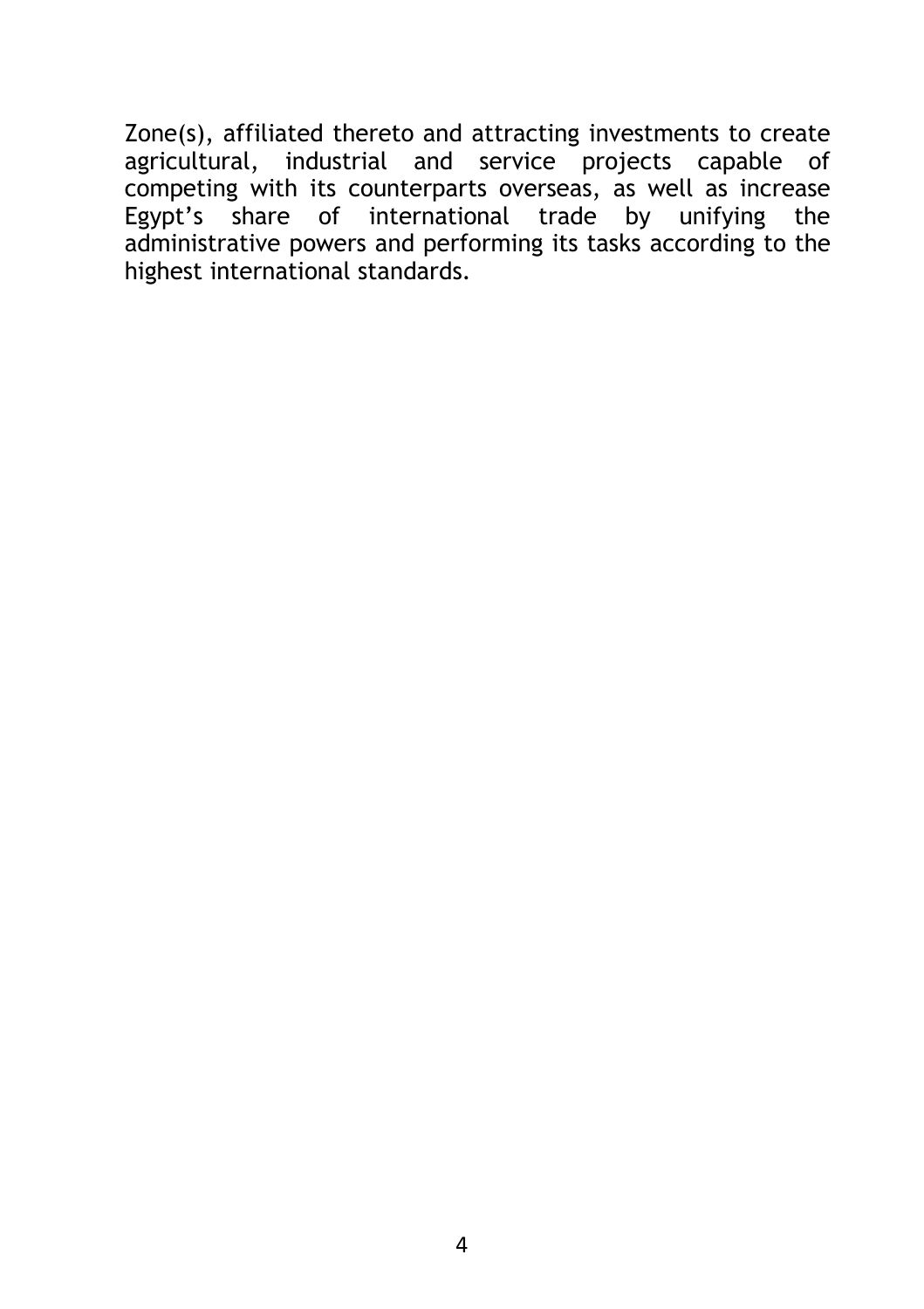Zone(s), affiliated thereto and attracting investments to create agricultural, industrial and service projects capable of competing with its counterparts overseas, as well as increase Egypt's share of international trade by unifying the administrative powers and performing its tasks according to the highest international standards.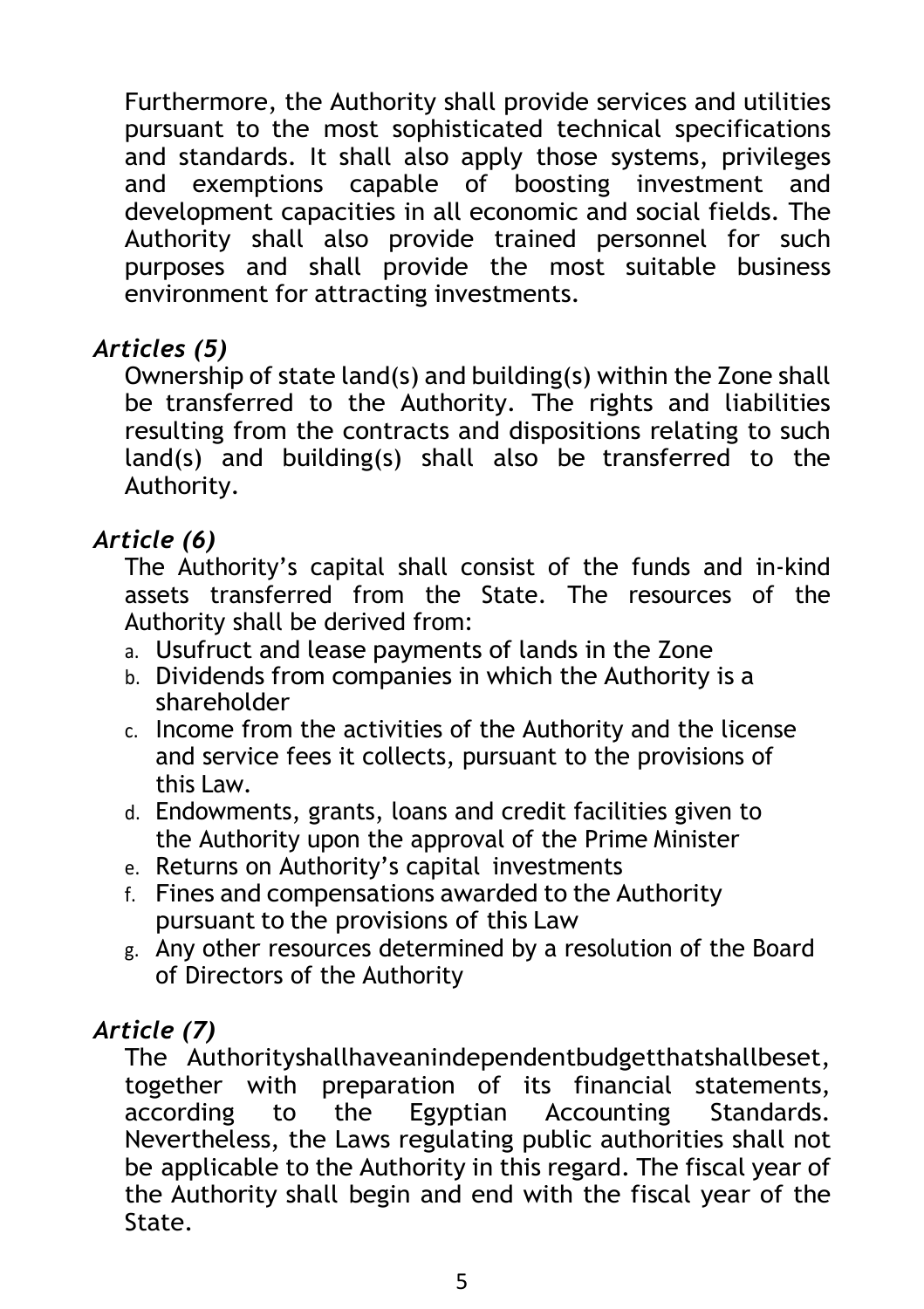Furthermore, the Authority shall provide services and utilities pursuant to the most sophisticated technical specifications and standards. It shall also apply those systems, privileges and exemptions capable of boosting investment and development capacities in all economic and social fields. The Authority shall also provide trained personnel for such purposes and shall provide the most suitable business environment for attracting investments.

## *Articles (5)*

Ownership of state land(s) and building(s) within the Zone shall be transferred to the Authority. The rights and liabilities resulting from the contracts and dispositions relating to such land(s) and building(s) shall also be transferred to the Authority.

## *Article (6)*

The Authority's capital shall consist of the funds and in-kind assets transferred from the State. The resources of the Authority shall be derived from:

- a. Usufruct and lease payments of lands in the Zone
- b. Dividends from companies in which the Authority is a shareholder
- c. Income from the activities of the Authority and the license and service fees it collects, pursuant to the provisions of this Law.
- d. Endowments, grants, loans and credit facilities given to the Authority upon the approval of the Prime Minister
- e. Returns on Authority's capital investments
- f. Fines and compensations awarded to the Authority pursuant to the provisions of this Law
- g. Any other resources determined by a resolution of the Board of Directors of the Authority

## *Article (7)*

The Authorityshallhaveanindependentbudgetthatshallbeset, together with preparation of its financial statements, according to the Egyptian Accounting Standards. Nevertheless, the Laws regulating public authorities shall not be applicable to the Authority in this regard. The fiscal year of the Authority shall begin and end with the fiscal year of the State.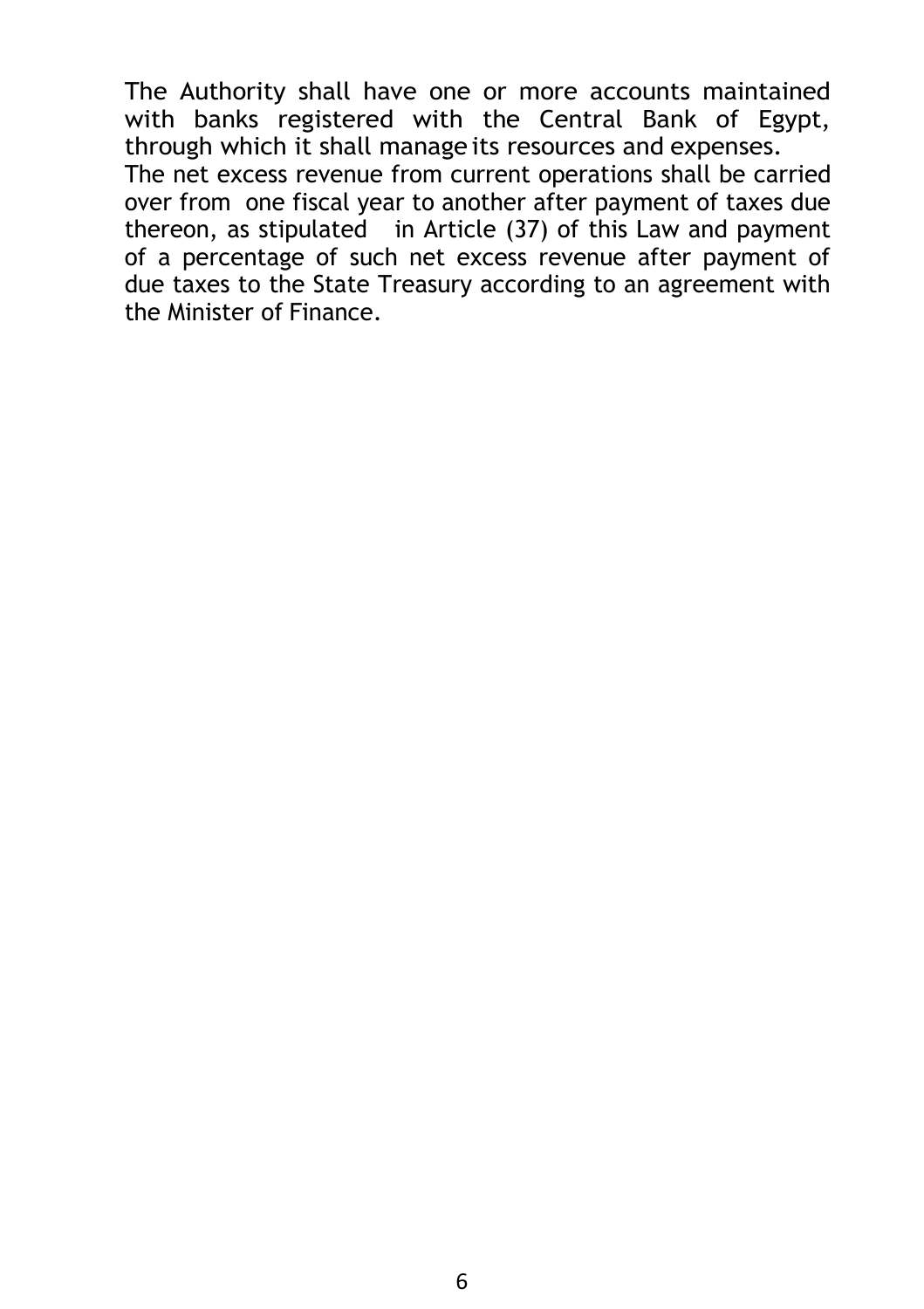The Authority shall have one or more accounts maintained with banks registered with the Central Bank of Egypt, through which it shall manage its resources and expenses.

The net excess revenue from current operations shall be carried over from one fiscal year to another after payment of taxes due thereon, as stipulated in Article (37) of this Law and payment of a percentage of such net excess revenue after payment of due taxes to the State Treasury according to an agreement with the Minister of Finance.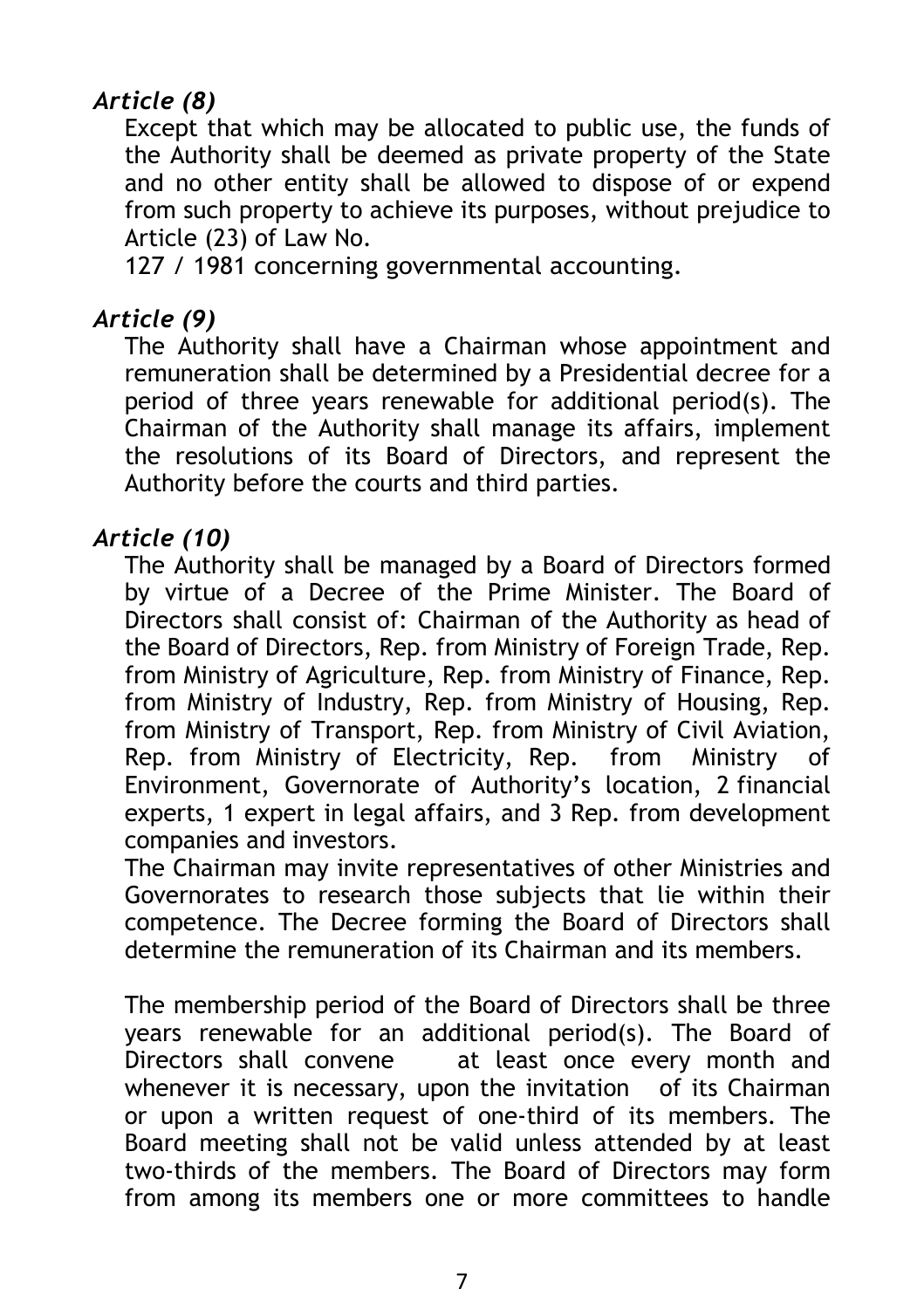## *Article (8)*

Except that which may be allocated to public use, the funds of the Authority shall be deemed as private property of the State and no other entity shall be allowed to dispose of or expend from such property to achieve its purposes, without prejudice to Article (23) of Law No.

127 / 1981 concerning governmental accounting.

## *Article (9)*

The Authority shall have a Chairman whose appointment and remuneration shall be determined by a Presidential decree for a period of three years renewable for additional period(s). The Chairman of the Authority shall manage its affairs, implement the resolutions of its Board of Directors, and represent the Authority before the courts and third parties.

### *Article (10)*

The Authority shall be managed by a Board of Directors formed by virtue of a Decree of the Prime Minister. The Board of Directors shall consist of: Chairman of the Authority as head of the Board of Directors, Rep. from Ministry of Foreign Trade, Rep. from Ministry of Agriculture, Rep. from Ministry of Finance, Rep. from Ministry of Industry, Rep. from Ministry of Housing, Rep. from Ministry of Transport, Rep. from Ministry of Civil Aviation, Rep. from Ministry of Electricity, Rep. from Ministry of Environment, Governorate of Authority's location, 2 financial experts, 1 expert in legal affairs, and 3 Rep. from development companies and investors.

The Chairman may invite representatives of other Ministries and Governorates to research those subjects that lie within their competence. The Decree forming the Board of Directors shall determine the remuneration of its Chairman and its members.

The membership period of the Board of Directors shall be three years renewable for an additional period(s). The Board of Directors shall convene at least once every month and whenever it is necessary, upon the invitation of its Chairman or upon a written request of one-third of its members. The Board meeting shall not be valid unless attended by at least two-thirds of the members. The Board of Directors may form from among its members one or more committees to handle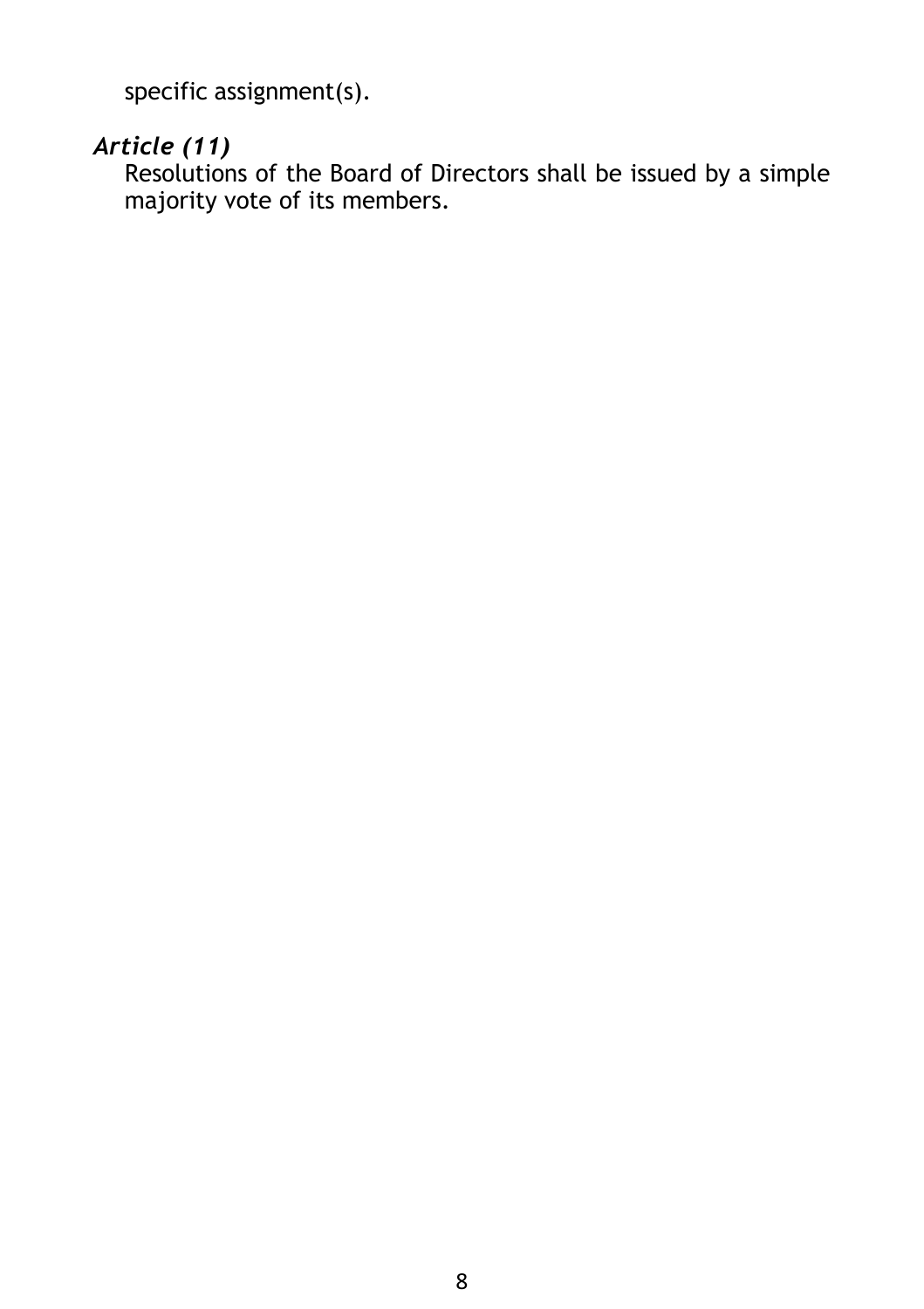specific assignment(s).

## *Article (11)*

Resolutions of the Board of Directors shall be issued by a simple majority vote of its members.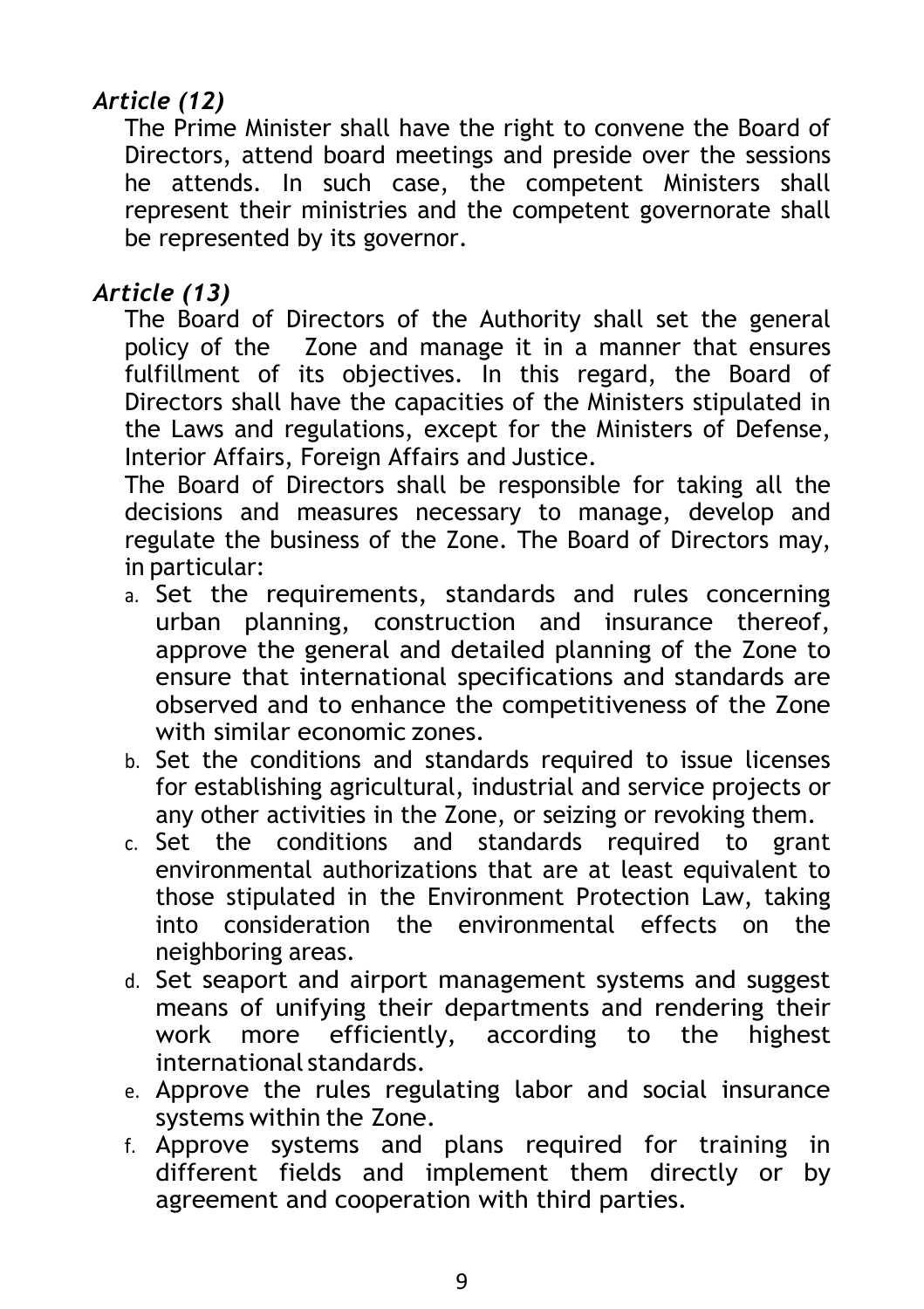## *Article (12)*

The Prime Minister shall have the right to convene the Board of Directors, attend board meetings and preside over the sessions he attends. In such case, the competent Ministers shall represent their ministries and the competent governorate shall be represented by its governor.

## *Article (13)*

The Board of Directors of the Authority shall set the general policy of the Zone and manage it in a manner that ensures fulfillment of its objectives. In this regard, the Board of Directors shall have the capacities of the Ministers stipulated in the Laws and regulations, except for the Ministers of Defense, Interior Affairs, Foreign Affairs and Justice.

The Board of Directors shall be responsible for taking all the decisions and measures necessary to manage, develop and regulate the business of the Zone. The Board of Directors may, in particular:

- a. Set the requirements, standards and rules concerning urban planning, construction and insurance thereof, approve the general and detailed planning of the Zone to ensure that international specifications and standards are observed and to enhance the competitiveness of the Zone with similar economic zones.
- b. Set the conditions and standards required to issue licenses for establishing agricultural, industrial and service projects or any other activities in the Zone, or seizing or revoking them.
- c. Set the conditions and standards required to grant environmental authorizations that are at least equivalent to those stipulated in the Environment Protection Law, taking into consideration the environmental effects on the neighboring areas.
- d. Set seaport and airport management systems and suggest means of unifying their departments and rendering their work more efficiently, according to the highest international standards.
- e. Approve the rules regulating labor and social insurance systems within the Zone.
- f. Approve systems and plans required for training in different fields and implement them directly or by agreement and cooperation with third parties.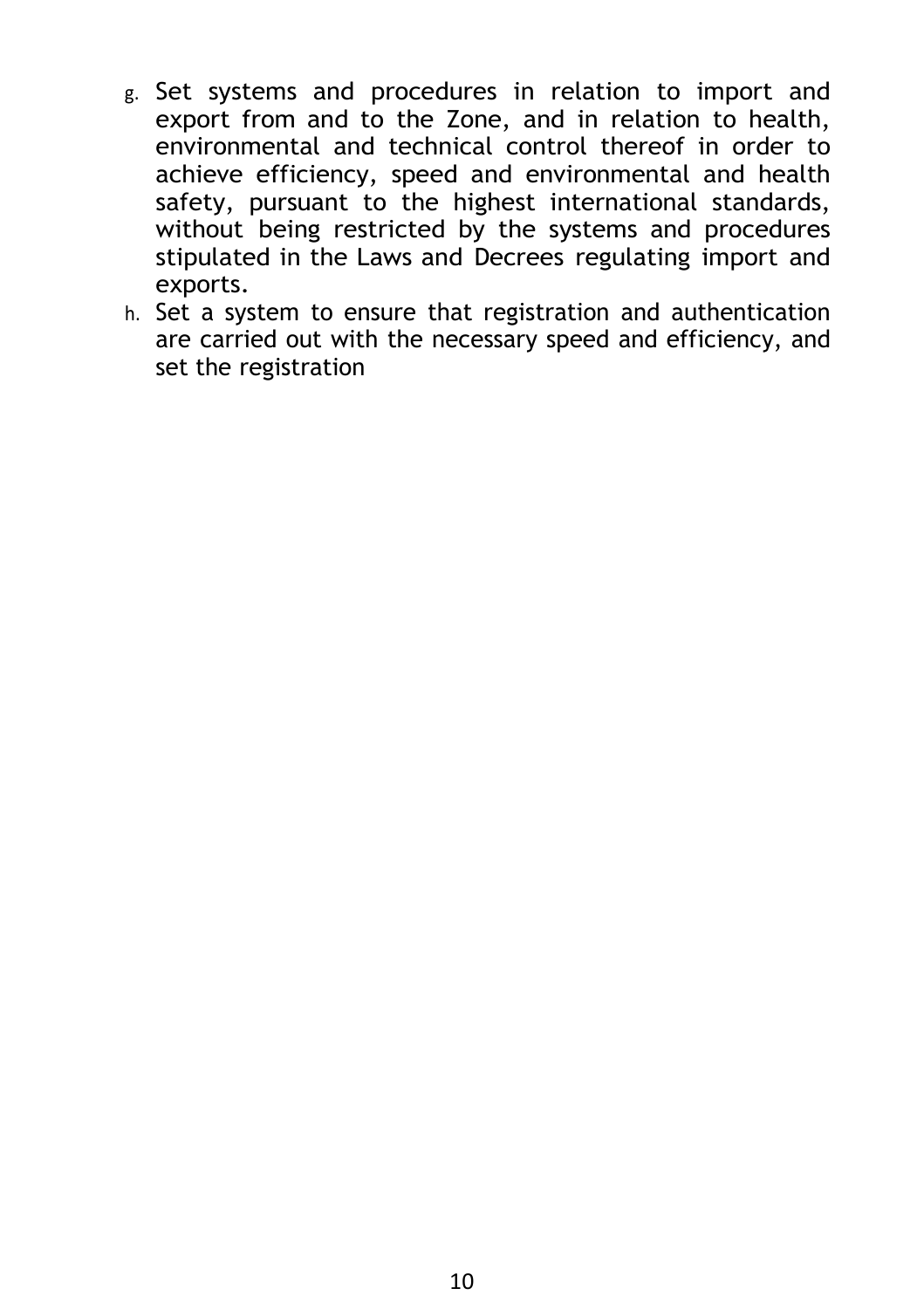- g. Set systems and procedures in relation to import and export from and to the Zone, and in relation to health, environmental and technical control thereof in order to achieve efficiency, speed and environmental and health safety, pursuant to the highest international standards, without being restricted by the systems and procedures stipulated in the Laws and Decrees regulating import and exports.
- h. Set a system to ensure that registration and authentication are carried out with the necessary speed and efficiency, and set the registration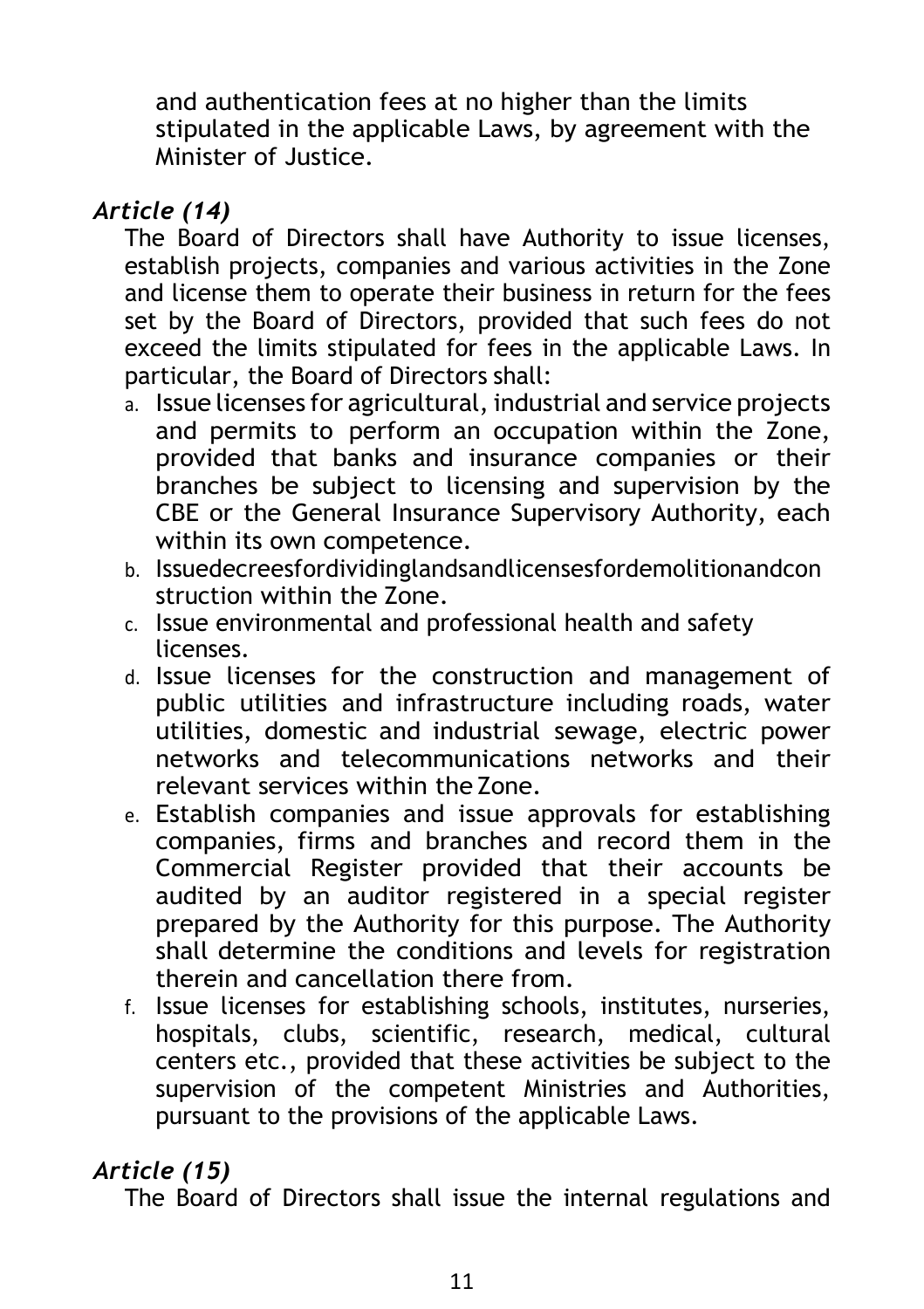and authentication fees at no higher than the limits stipulated in the applicable Laws, by agreement with the Minister of Justice.

## *Article (14)*

The Board of Directors shall have Authority to issue licenses, establish projects, companies and various activities in the Zone and license them to operate their business in return for the fees set by the Board of Directors, provided that such fees do not exceed the limits stipulated for fees in the applicable Laws. In particular, the Board of Directors shall:

- a. Issue licenses for agricultural, industrial and service projects and permits to perform an occupation within the Zone, provided that banks and insurance companies or their branches be subject to licensing and supervision by the CBE or the General Insurance Supervisory Authority, each within its own competence.
- b. Issuedecreesfordividinglandsandlicensesfordemolitionandcon struction within the Zone.
- c. Issue environmental and professional health and safety licenses.
- d. Issue licenses for the construction and management of public utilities and infrastructure including roads, water utilities, domestic and industrial sewage, electric power networks and telecommunications networks and their relevant services within the Zone.
- e. Establish companies and issue approvals for establishing companies, firms and branches and record them in the Commercial Register provided that their accounts be audited by an auditor registered in a special register prepared by the Authority for this purpose. The Authority shall determine the conditions and levels for registration therein and cancellation there from.
- f. Issue licenses for establishing schools, institutes, nurseries, hospitals, clubs, scientific, research, medical, cultural centers etc., provided that these activities be subject to the supervision of the competent Ministries and Authorities, pursuant to the provisions of the applicable Laws.

## *Article (15)*

The Board of Directors shall issue the internal regulations and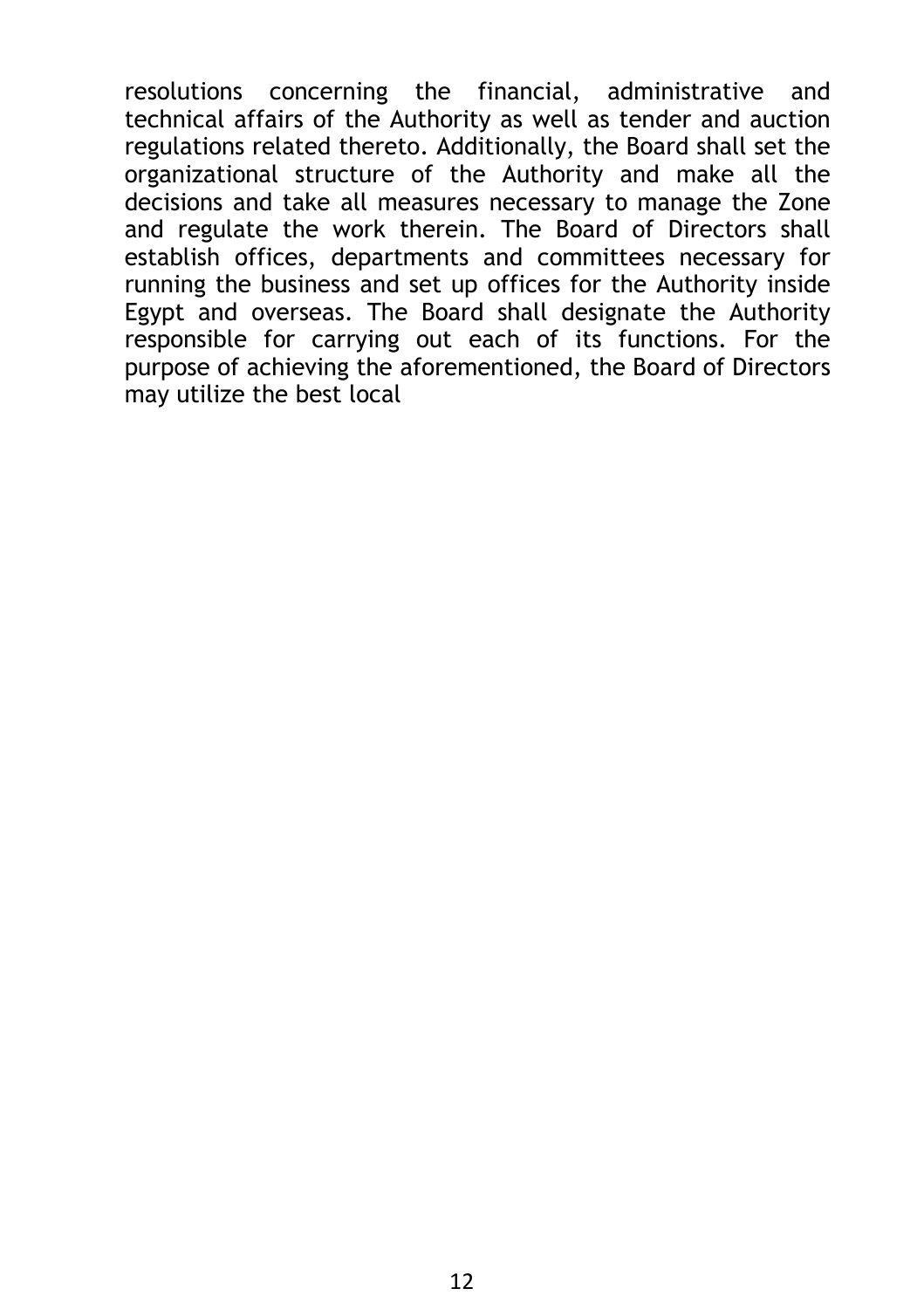resolutions concerning the financial, administrative and technical affairs of the Authority as well as tender and auction regulations related thereto. Additionally, the Board shall set the organizational structure of the Authority and make all the decisions and take all measures necessary to manage the Zone and regulate the work therein. The Board of Directors shall establish offices, departments and committees necessary for running the business and set up offices for the Authority inside Egypt and overseas. The Board shall designate the Authority responsible for carrying out each of its functions. For the purpose of achieving the aforementioned, the Board of Directors may utilize the best local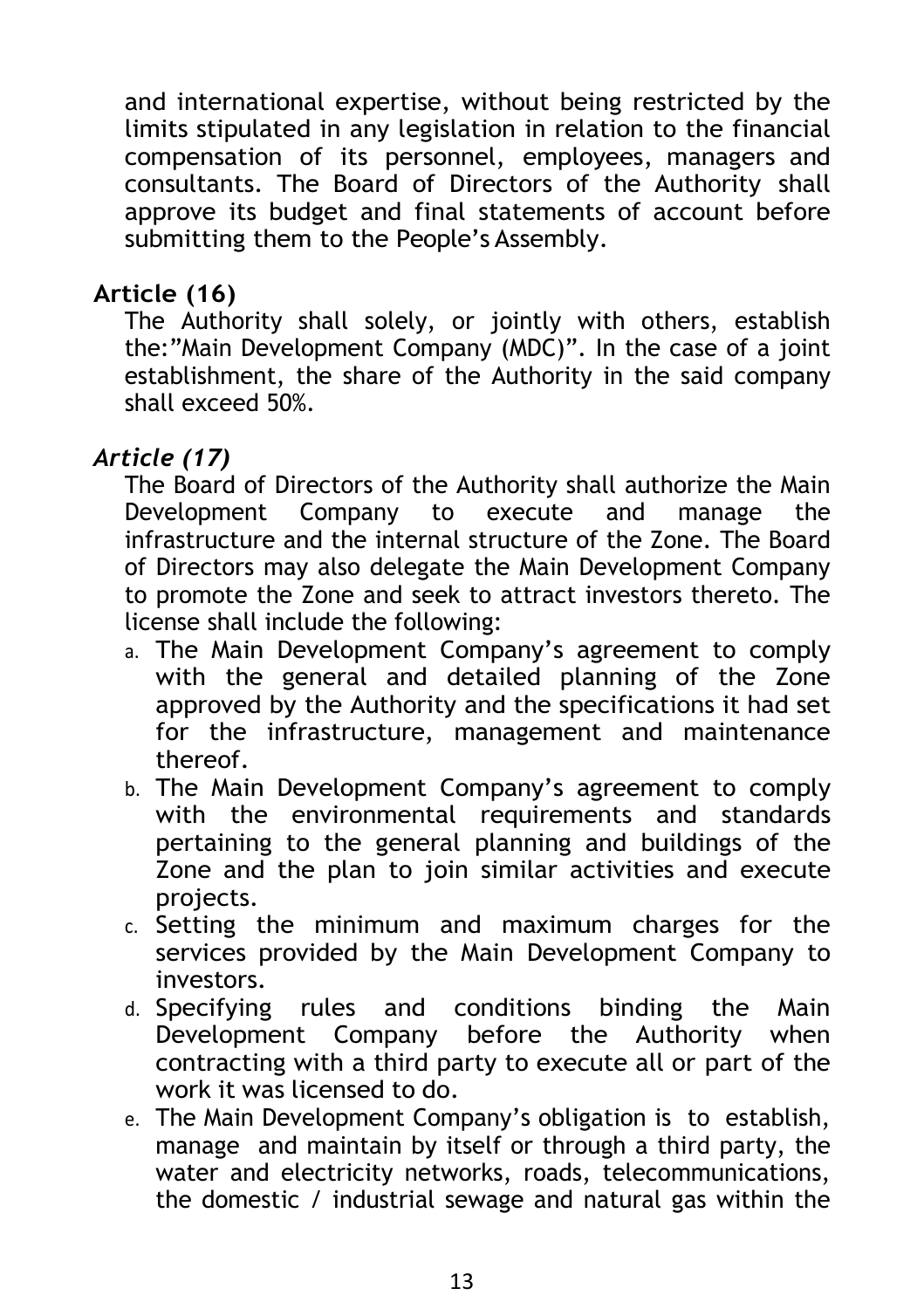and international expertise, without being restricted by the limits stipulated in any legislation in relation to the financial compensation of its personnel, employees, managers and consultants. The Board of Directors of the Authority shall approve its budget and final statements of account before submitting them to the People's Assembly.

#### **Article (16)**

The Authority shall solely, or jointly with others, establish the:"Main Development Company (MDC)". In the case of a joint establishment, the share of the Authority in the said company shall exceed 50%.

### *Article (17)*

The Board of Directors of the Authority shall authorize the Main Development Company to execute and manage the infrastructure and the internal structure of the Zone. The Board of Directors may also delegate the Main Development Company to promote the Zone and seek to attract investors thereto. The license shall include the following:

- a. The Main Development Company's agreement to comply with the general and detailed planning of the Zone approved by the Authority and the specifications it had set for the infrastructure, management and maintenance thereof.
- b. The Main Development Company's agreement to comply with the environmental requirements and standards pertaining to the general planning and buildings of the Zone and the plan to join similar activities and execute projects.
- c. Setting the minimum and maximum charges for the services provided by the Main Development Company to investors.
- d. Specifying rules and conditions binding the Main Development Company before the Authority when contracting with a third party to execute all or part of the work it was licensed to do.
- e. The Main Development Company's obligation is to establish, manage and maintain by itself or through a third party, the water and electricity networks, roads, telecommunications, the domestic / industrial sewage and natural gas within the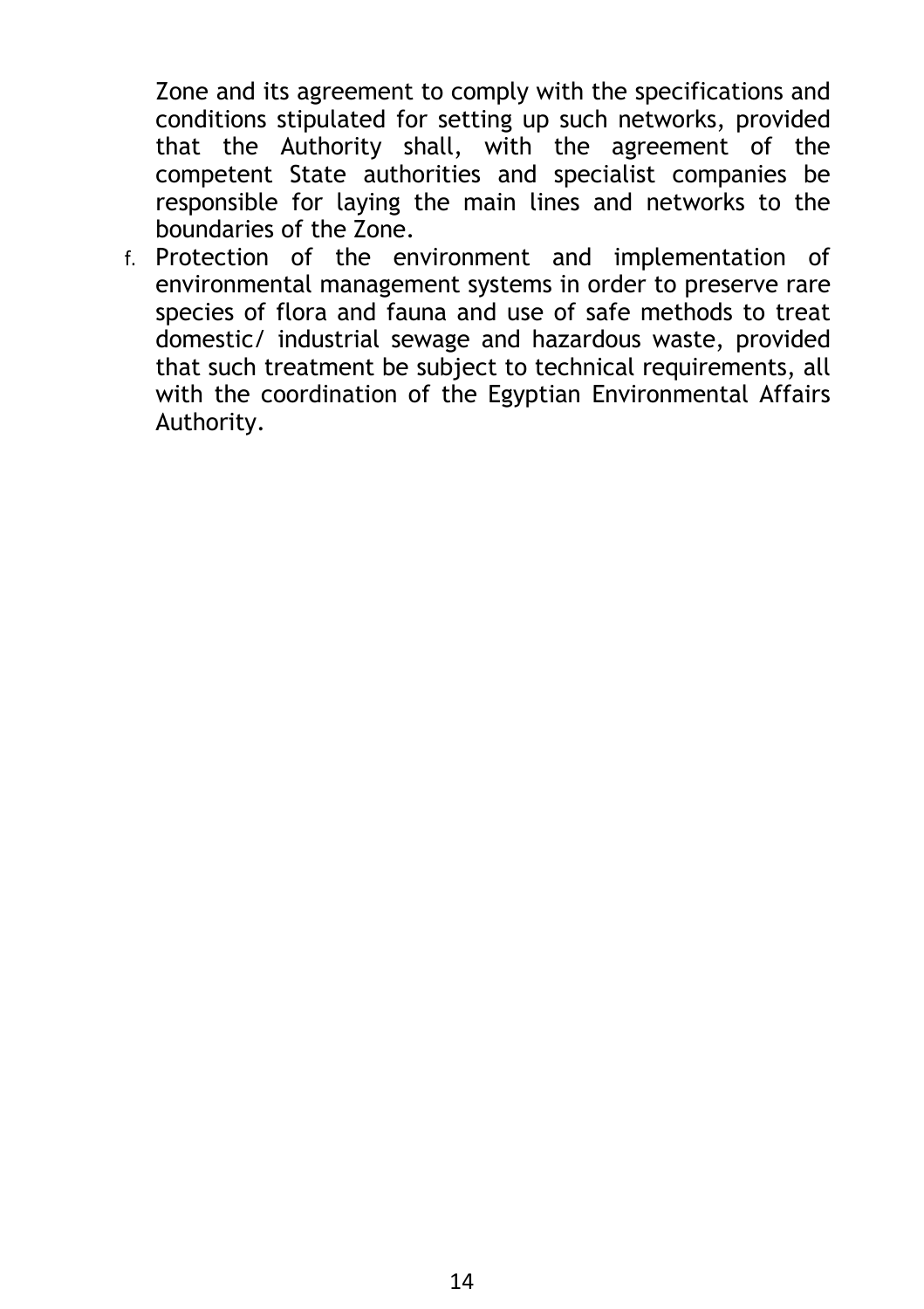Zone and its agreement to comply with the specifications and conditions stipulated for setting up such networks, provided that the Authority shall, with the agreement of the competent State authorities and specialist companies be responsible for laying the main lines and networks to the boundaries of the Zone.

f. Protection of the environment and implementation of environmental management systems in order to preserve rare species of flora and fauna and use of safe methods to treat domestic/ industrial sewage and hazardous waste, provided that such treatment be subject to technical requirements, all with the coordination of the Egyptian Environmental Affairs Authority.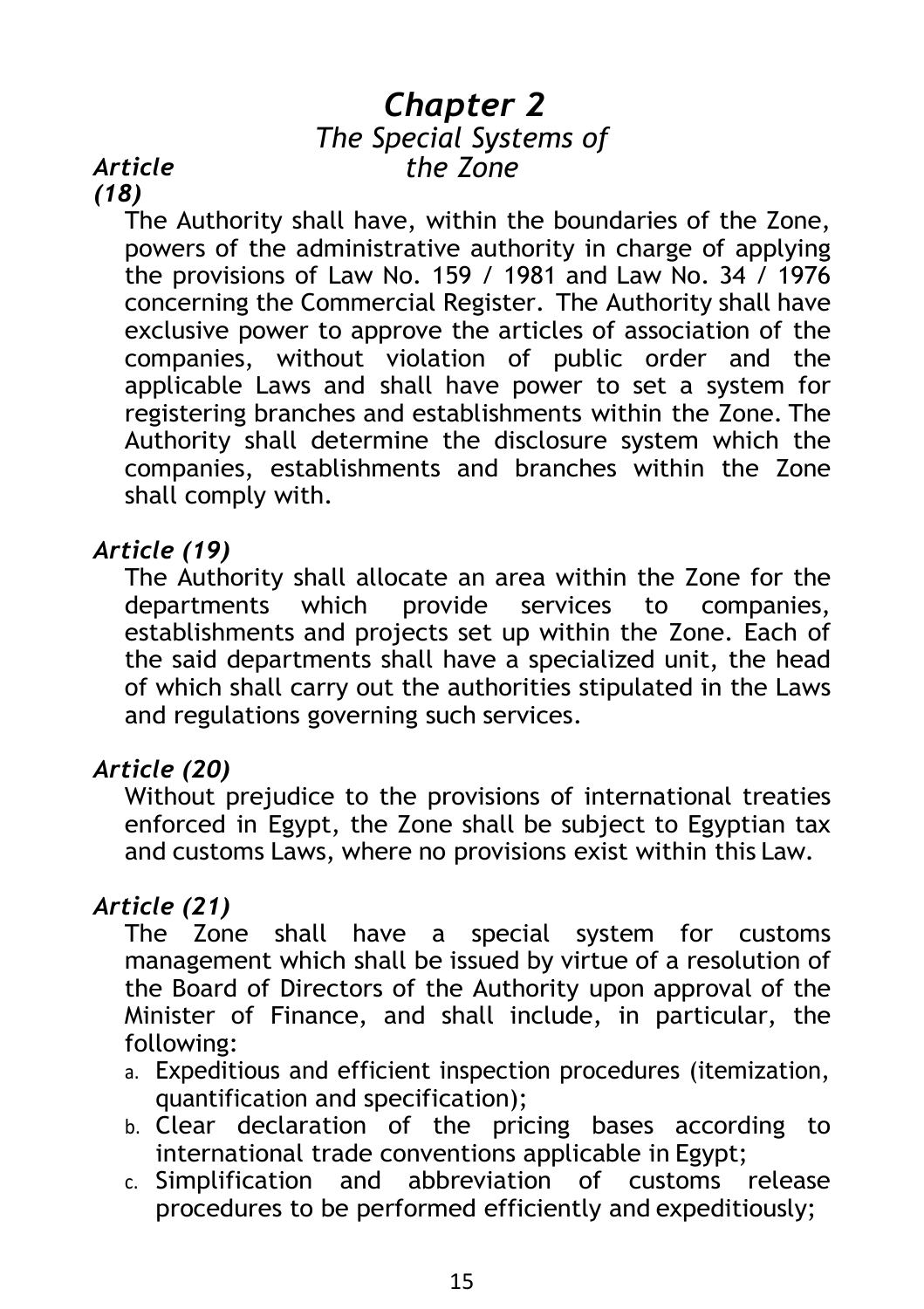## *Chapter 2 The Special Systems of the Zone*

#### *Article (18)*

The Authority shall have, within the boundaries of the Zone, powers of the administrative authority in charge of applying the provisions of Law No. 159 / 1981 and Law No. 34 / 1976 concerning the Commercial Register. The Authority shall have exclusive power to approve the articles of association of the companies, without violation of public order and the applicable Laws and shall have power to set a system for registering branches and establishments within the Zone. The Authority shall determine the disclosure system which the companies, establishments and branches within the Zone shall comply with.

#### *Article (19)*

The Authority shall allocate an area within the Zone for the departments which provide services to companies, establishments and projects set up within the Zone. Each of the said departments shall have a specialized unit, the head of which shall carry out the authorities stipulated in the Laws and regulations governing such services.

### *Article (20)*

Without prejudice to the provisions of international treaties enforced in Egypt, the Zone shall be subject to Egyptian tax and customs Laws, where no provisions exist within this Law.

#### *Article (21)*

The Zone shall have a special system for customs management which shall be issued by virtue of a resolution of the Board of Directors of the Authority upon approval of the Minister of Finance, and shall include, in particular, the following:

- a. Expeditious and efficient inspection procedures (itemization, quantification and specification);
- b. Clear declaration of the pricing bases according to international trade conventions applicable in Egypt;
- c. Simplification and abbreviation of customs release procedures to be performed efficiently and expeditiously;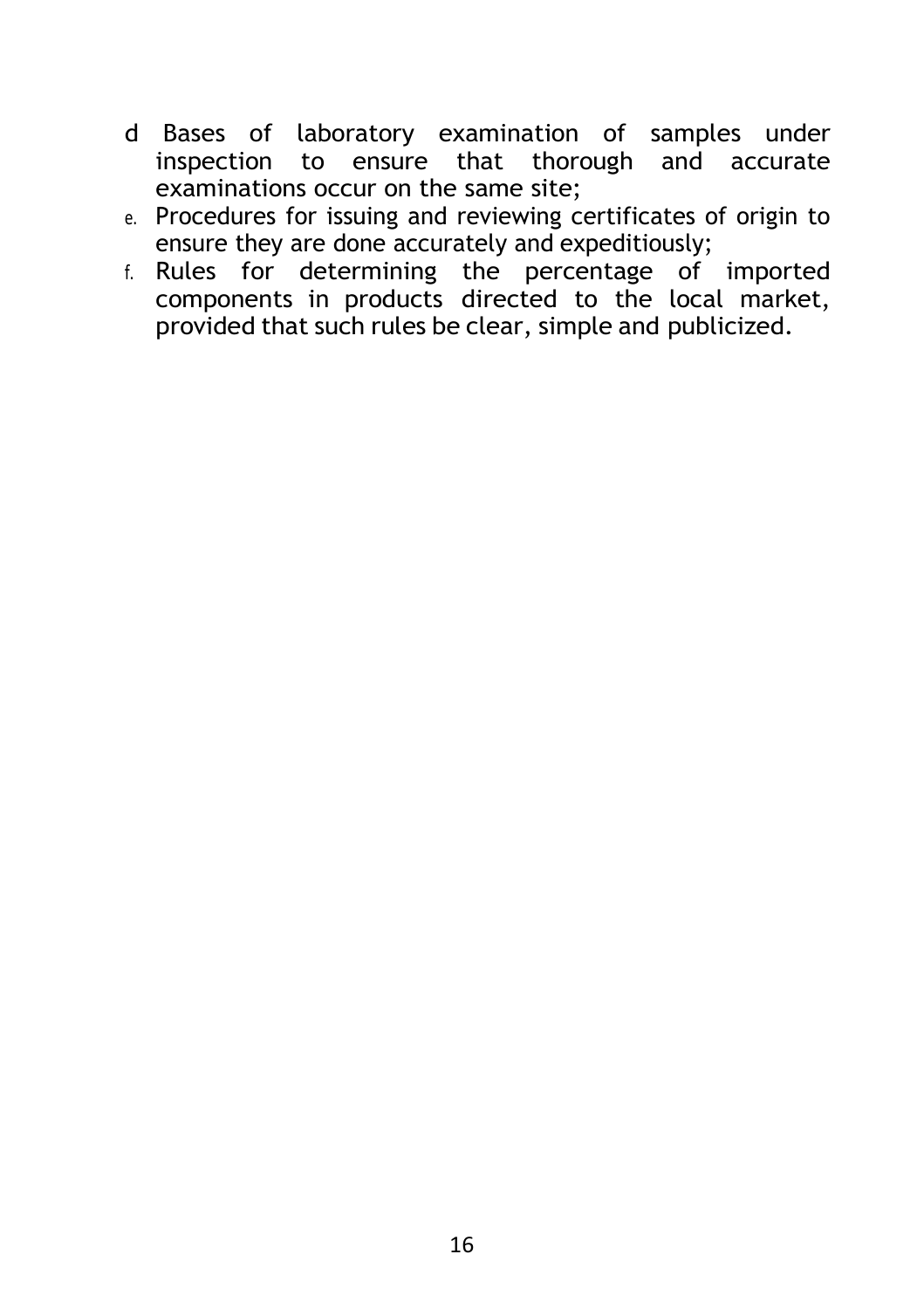- d Bases of laboratory examination of samples under inspection to ensure that thorough and accurate examinations occur on the same site;
- e. Procedures for issuing and reviewing certificates of origin to ensure they are done accurately and expeditiously;
- f. Rules for determining the percentage of imported components in products directed to the local market, provided that such rules be clear, simple and publicized.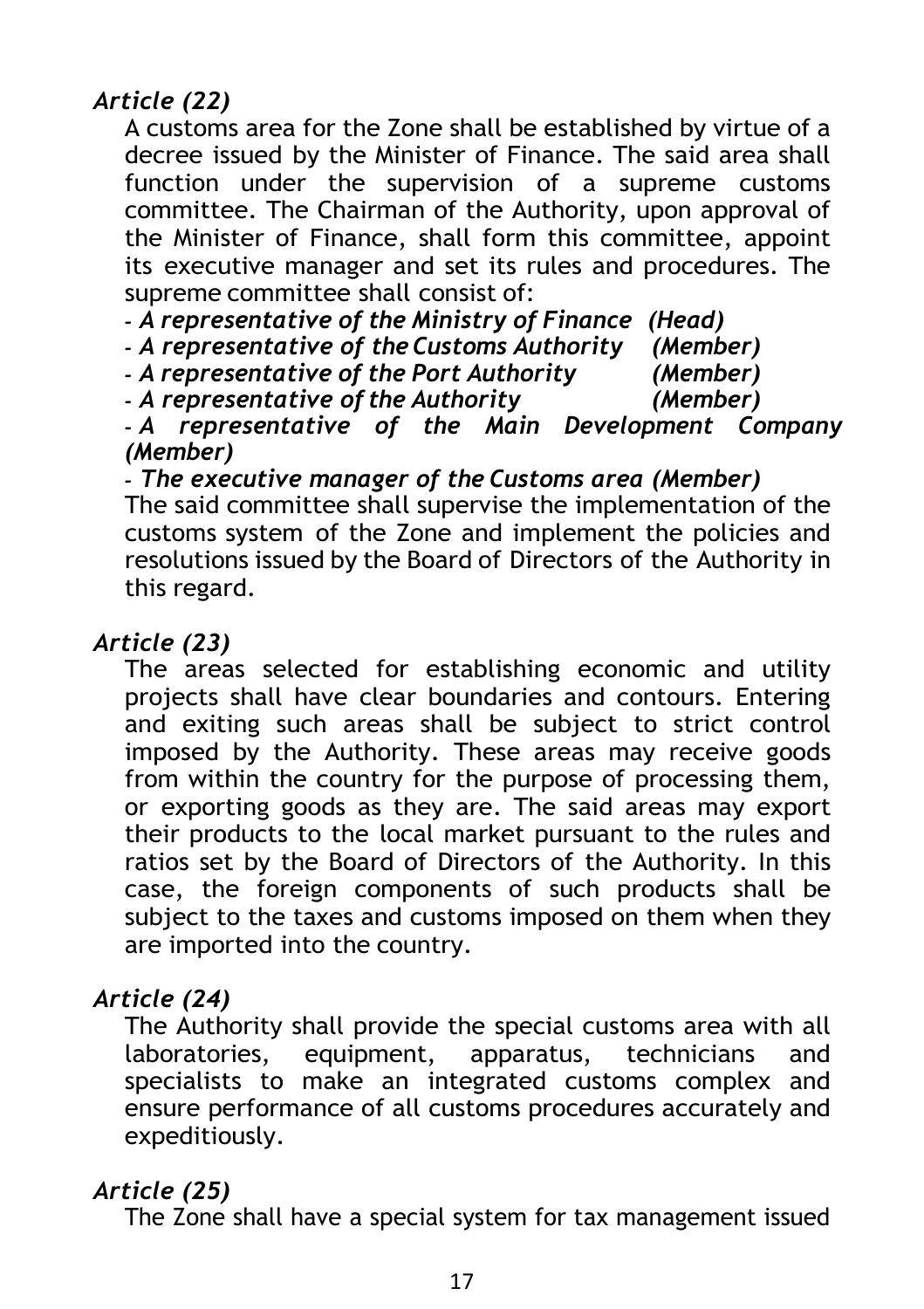## *Article (22)*

A customs area for the Zone shall be established by virtue of a decree issued by the Minister of Finance. The said area shall function under the supervision of a supreme customs committee. The Chairman of the Authority, upon approval of the Minister of Finance, shall form this committee, appoint its executive manager and set its rules and procedures. The supreme committee shall consist of:

*- A representative of the Ministry of Finance (Head)* 

*- A representative of the Customs Authority (Member)* 

*- A representative of the Port Authority (Member) - A representative of the Authority (Member)* 

*- A representative of the Main Development Company (Member)* 

*- The executive manager of the Customs area (Member)* 

The said committee shall supervise the implementation of the customs system of the Zone and implement the policies and resolutions issued by the Board of Directors of the Authority in this regard.

#### *Article (23)*

The areas selected for establishing economic and utility projects shall have clear boundaries and contours. Entering and exiting such areas shall be subject to strict control imposed by the Authority. These areas may receive goods from within the country for the purpose of processing them, or exporting goods as they are. The said areas may export their products to the local market pursuant to the rules and ratios set by the Board of Directors of the Authority. In this case, the foreign components of such products shall be subject to the taxes and customs imposed on them when they are imported into the country.

### *Article (24)*

The Authority shall provide the special customs area with all laboratories, equipment, apparatus, technicians and specialists to make an integrated customs complex and ensure performance of all customs procedures accurately and expeditiously.

### *Article (25)*

The Zone shall have a special system for tax management issued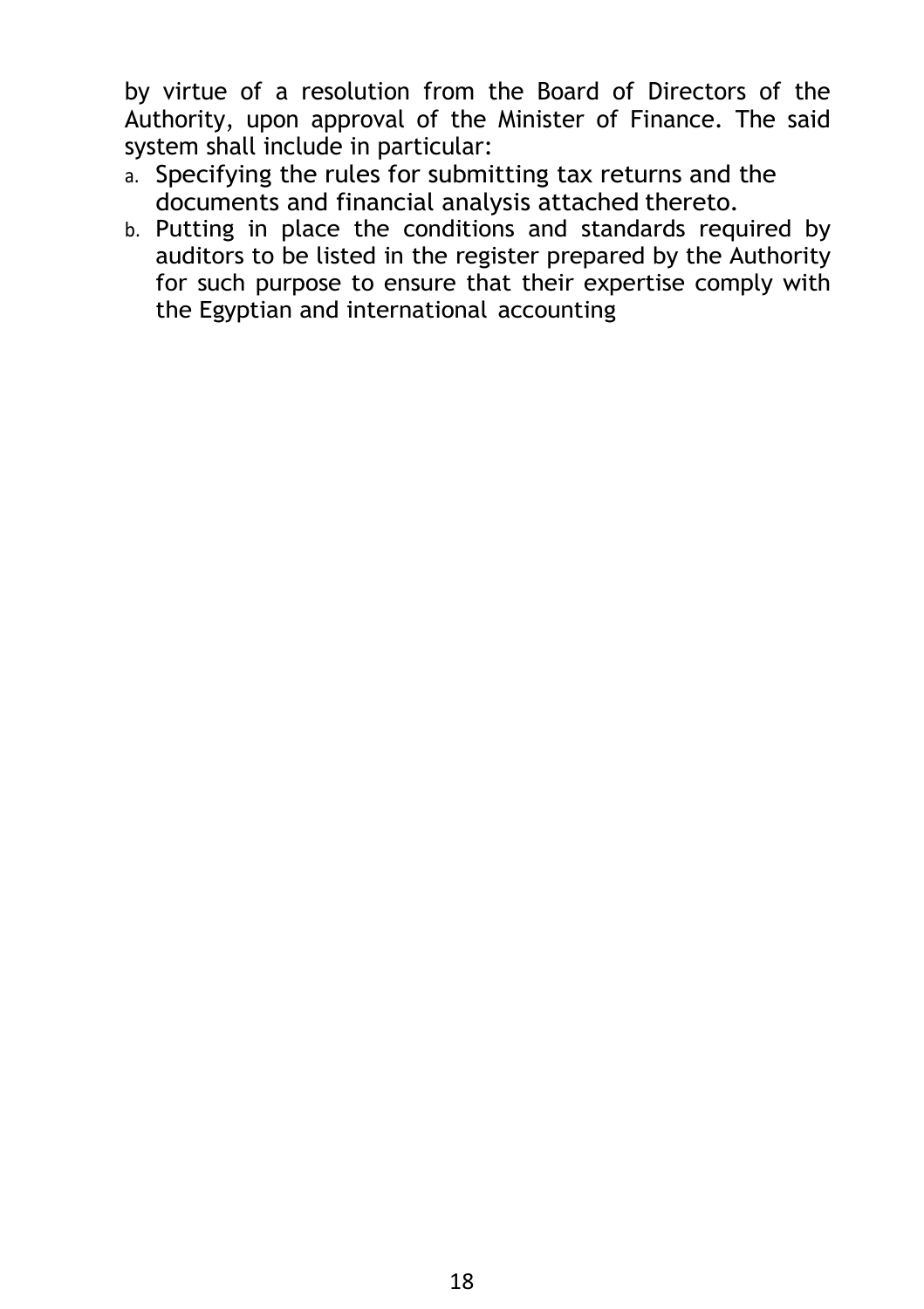by virtue of a resolution from the Board of Directors of the Authority, upon approval of the Minister of Finance. The said system shall include in particular:

- a. Specifying the rules for submitting tax returns and the documents and financial analysis attached thereto.
- b. Putting in place the conditions and standards required by auditors to be listed in the register prepared by the Authority for such purpose to ensure that their expertise comply with the Egyptian and international accounting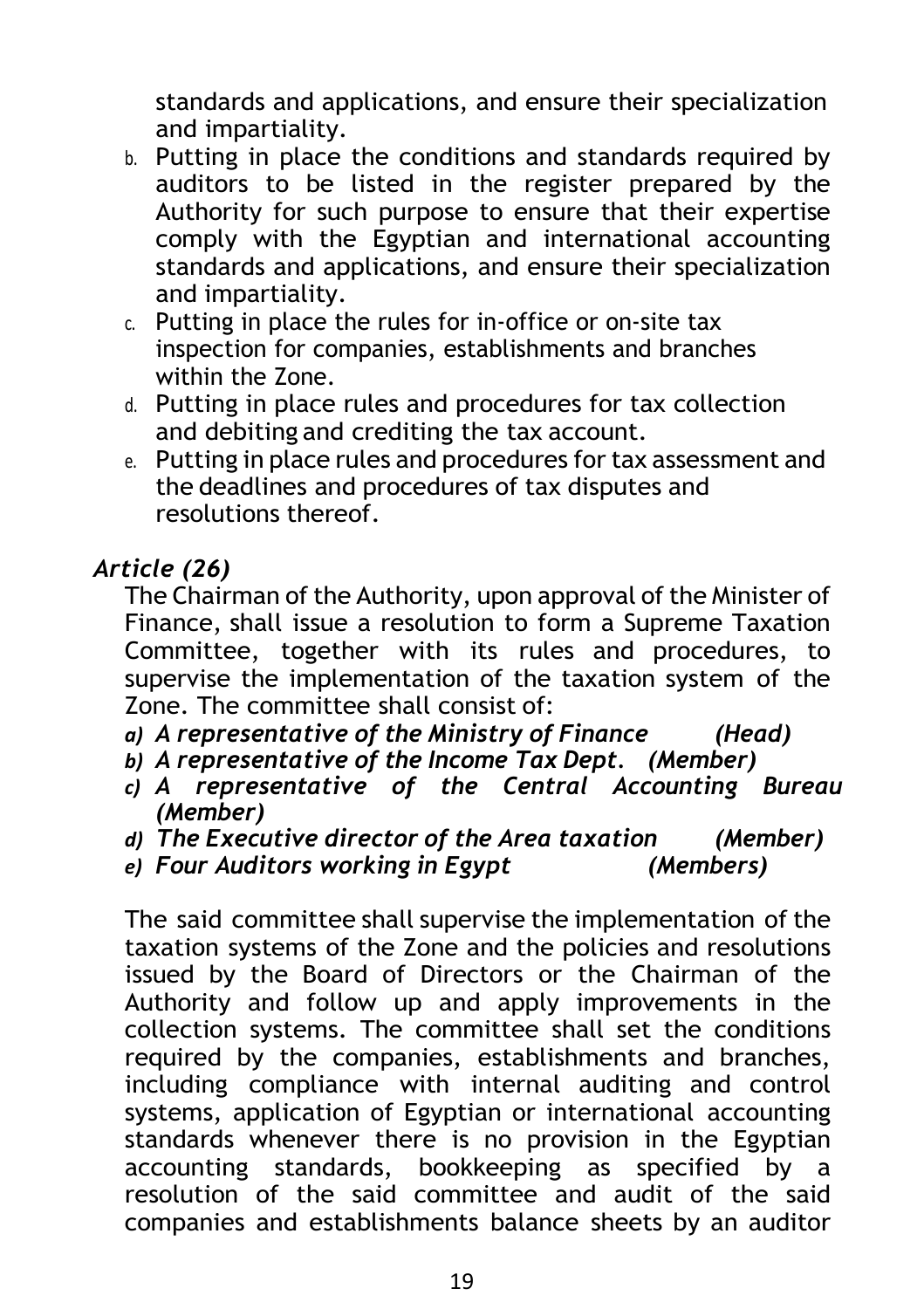standards and applications, and ensure their specialization and impartiality.

- b. Putting in place the conditions and standards required by auditors to be listed in the register prepared by the Authority for such purpose to ensure that their expertise comply with the Egyptian and international accounting standards and applications, and ensure their specialization and impartiality.
- c. Putting in place the rules for in-office or on-site tax inspection for companies, establishments and branches within the Zone.
- d. Putting in place rules and procedures for tax collection and debiting and crediting the tax account.
- e. Putting in place rules and procedures for tax assessment and the deadlines and procedures of tax disputes and resolutions thereof.

## *Article (26)*

The Chairman of the Authority, upon approval of the Minister of Finance, shall issue a resolution to form a Supreme Taxation Committee, together with its rules and procedures, to supervise the implementation of the taxation system of the Zone. The committee shall consist of:

- *a) A representative of the Ministry of Finance (Head)*
- *b) A representative of the Income Tax Dept. (Member)*
- *c) A representative of the Central Accounting Bureau (Member)*
- *d) The Executive director of the Area taxation (Member)*
- *e) Four Auditors working in Egypt (Members)*

The said committee shall supervise the implementation of the taxation systems of the Zone and the policies and resolutions issued by the Board of Directors or the Chairman of the Authority and follow up and apply improvements in the collection systems. The committee shall set the conditions required by the companies, establishments and branches, including compliance with internal auditing and control systems, application of Egyptian or international accounting standards whenever there is no provision in the Egyptian accounting standards, bookkeeping as specified by a resolution of the said committee and audit of the said companies and establishments balance sheets by an auditor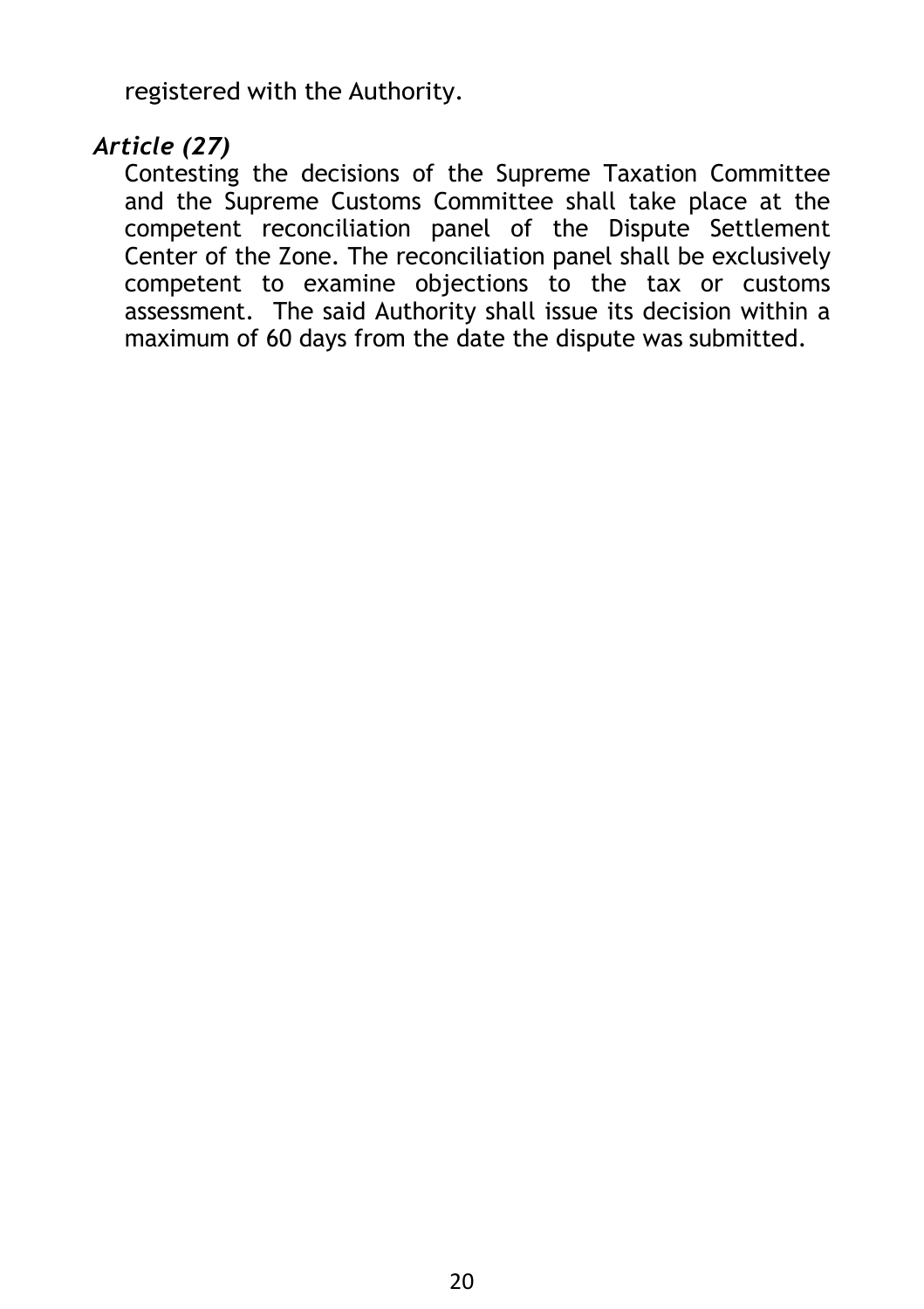registered with the Authority.

#### *Article (27)*

Contesting the decisions of the Supreme Taxation Committee and the Supreme Customs Committee shall take place at the competent reconciliation panel of the Dispute Settlement Center of the Zone. The reconciliation panel shall be exclusively competent to examine objections to the tax or customs assessment. The said Authority shall issue its decision within a maximum of 60 days from the date the dispute was submitted.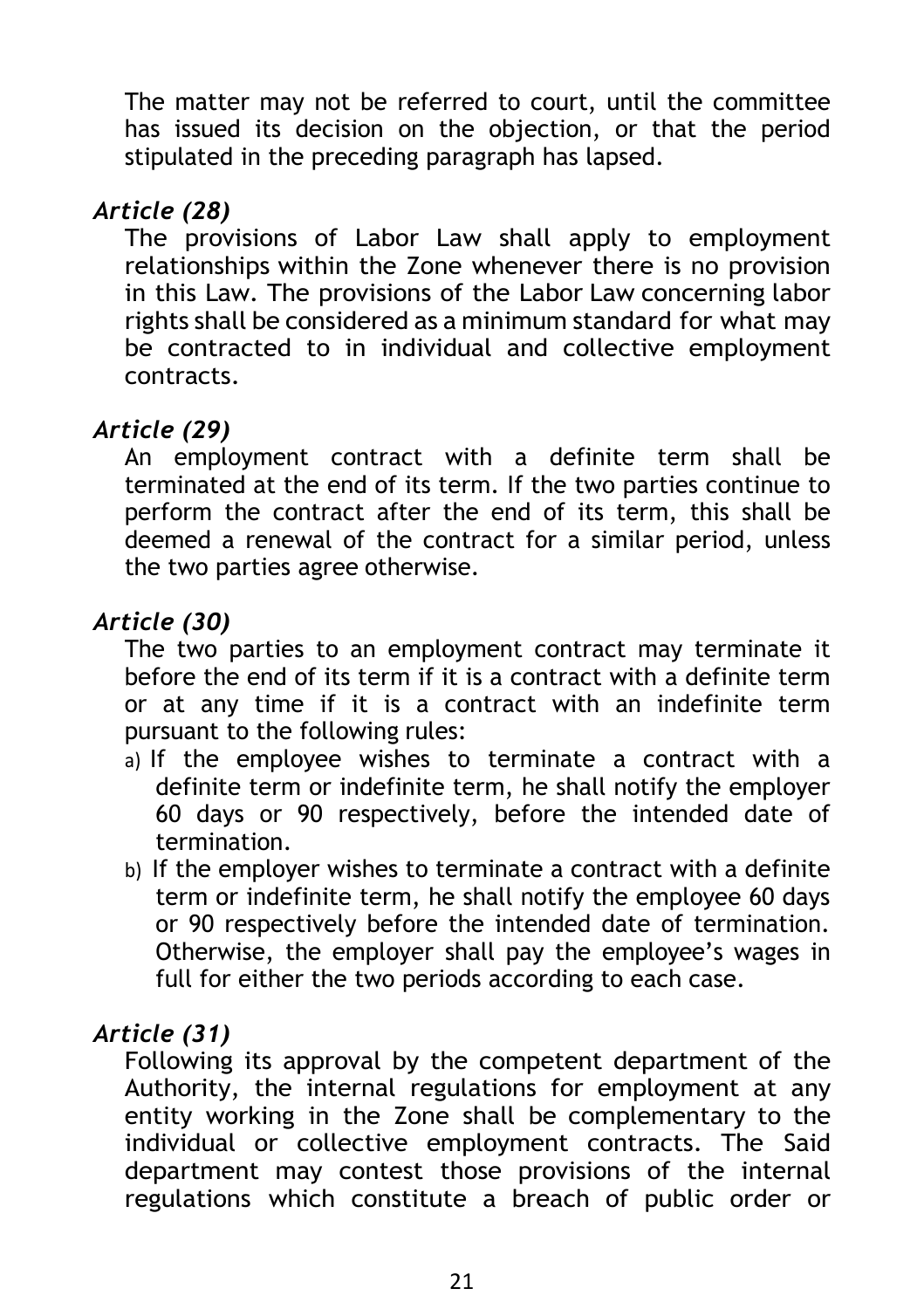The matter may not be referred to court, until the committee has issued its decision on the objection, or that the period stipulated in the preceding paragraph has lapsed.

## *Article (28)*

The provisions of Labor Law shall apply to employment relationships within the Zone whenever there is no provision in this Law. The provisions of the Labor Law concerning labor rights shall be considered as a minimum standard for what may be contracted to in individual and collective employment contracts.

## *Article (29)*

An employment contract with a definite term shall be terminated at the end of its term. If the two parties continue to perform the contract after the end of its term, this shall be deemed a renewal of the contract for a similar period, unless the two parties agree otherwise.

### *Article (30)*

The two parties to an employment contract may terminate it before the end of its term if it is a contract with a definite term or at any time if it is a contract with an indefinite term pursuant to the following rules:

- a) If the employee wishes to terminate a contract with a definite term or indefinite term, he shall notify the employer 60 days or 90 respectively, before the intended date of termination.
- b) If the employer wishes to terminate a contract with a definite term or indefinite term, he shall notify the employee 60 days or 90 respectively before the intended date of termination. Otherwise, the employer shall pay the employee's wages in full for either the two periods according to each case.

### *Article (31)*

Following its approval by the competent department of the Authority, the internal regulations for employment at any entity working in the Zone shall be complementary to the individual or collective employment contracts. The Said department may contest those provisions of the internal regulations which constitute a breach of public order or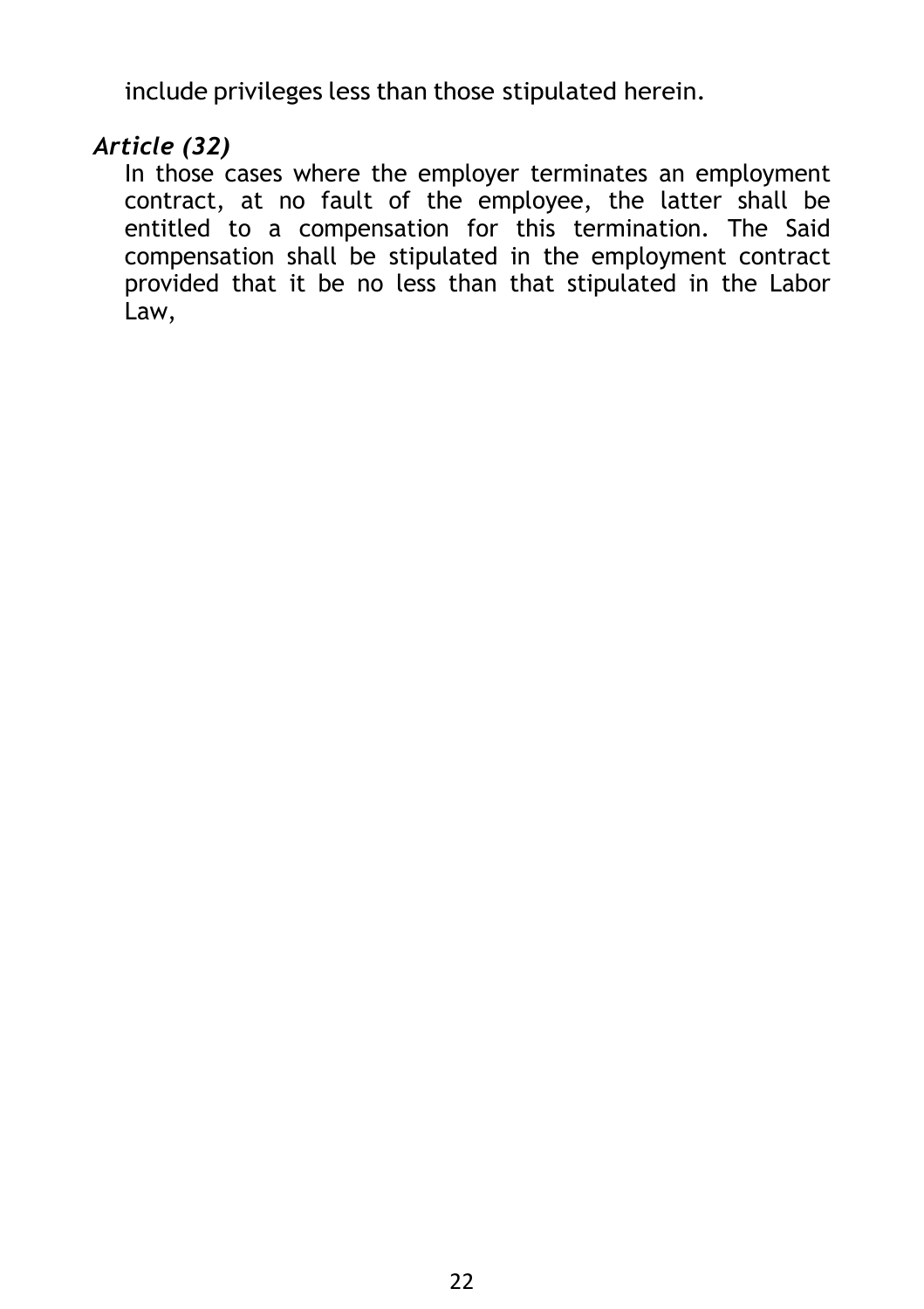include privileges less than those stipulated herein.

#### *Article (32)*

In those cases where the employer terminates an employment contract, at no fault of the employee, the latter shall be entitled to a compensation for this termination. The Said compensation shall be stipulated in the employment contract provided that it be no less than that stipulated in the Labor Law,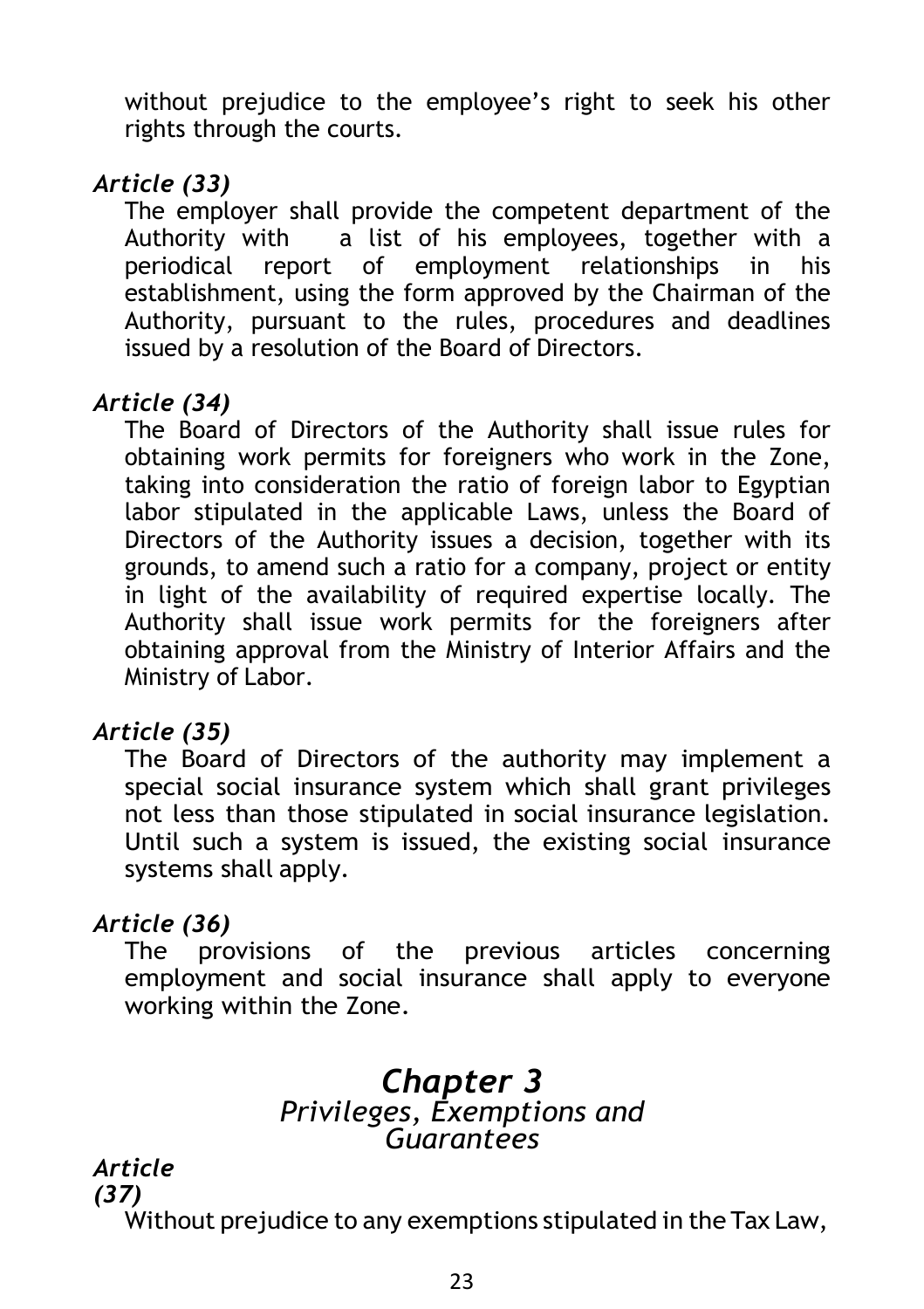without prejudice to the employee's right to seek his other rights through the courts.

## *Article (33)*

The employer shall provide the competent department of the Authority with a list of his employees, together with a periodical report of employment relationships in his establishment, using the form approved by the Chairman of the Authority, pursuant to the rules, procedures and deadlines issued by a resolution of the Board of Directors.

## *Article (34)*

The Board of Directors of the Authority shall issue rules for obtaining work permits for foreigners who work in the Zone, taking into consideration the ratio of foreign labor to Egyptian labor stipulated in the applicable Laws, unless the Board of Directors of the Authority issues a decision, together with its grounds, to amend such a ratio for a company, project or entity in light of the availability of required expertise locally. The Authority shall issue work permits for the foreigners after obtaining approval from the Ministry of Interior Affairs and the Ministry of Labor.

### *Article (35)*

The Board of Directors of the authority may implement a special social insurance system which shall grant privileges not less than those stipulated in social insurance legislation. Until such a system is issued, the existing social insurance systems shall apply.

### *Article (36)*

The provisions of the previous articles concerning employment and social insurance shall apply to everyone working within the Zone.

## *Chapter 3 Privileges, Exemptions and Guarantees*

*Article (37)*

Without prejudice to any exemptions stipulated in the Tax Law,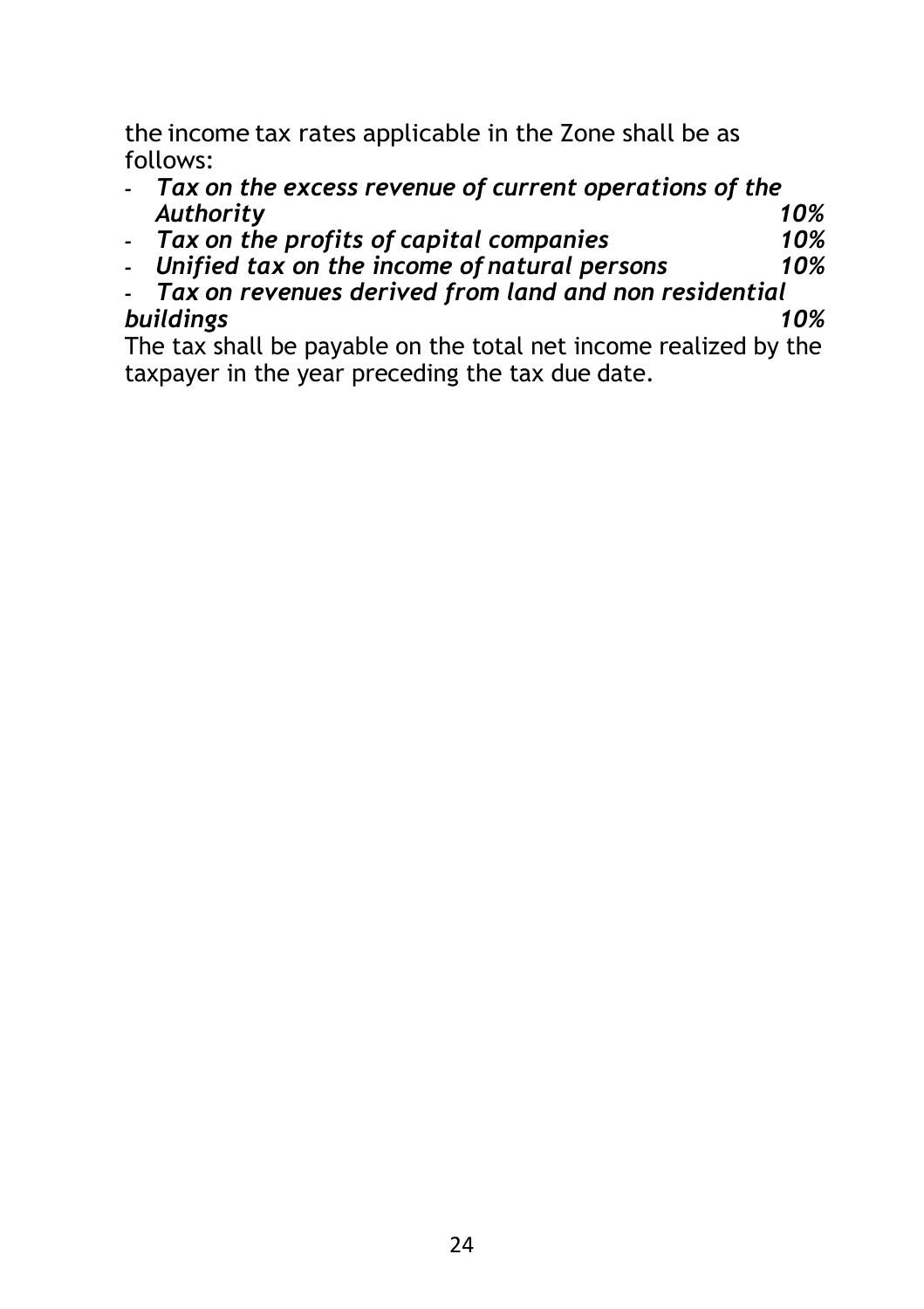the income tax rates applicable in the Zone shall be as follows:

- *- Tax on the excess revenue of current operations of the Authority 10%*
- *- Tax on the profits of capital companies 10%*
- *-* Unified tax on the income of natural persons
- *- Tax on revenues derived from land and non residential buildings 10%*

The tax shall be payable on the total net income realized by the taxpayer in the year preceding the tax due date.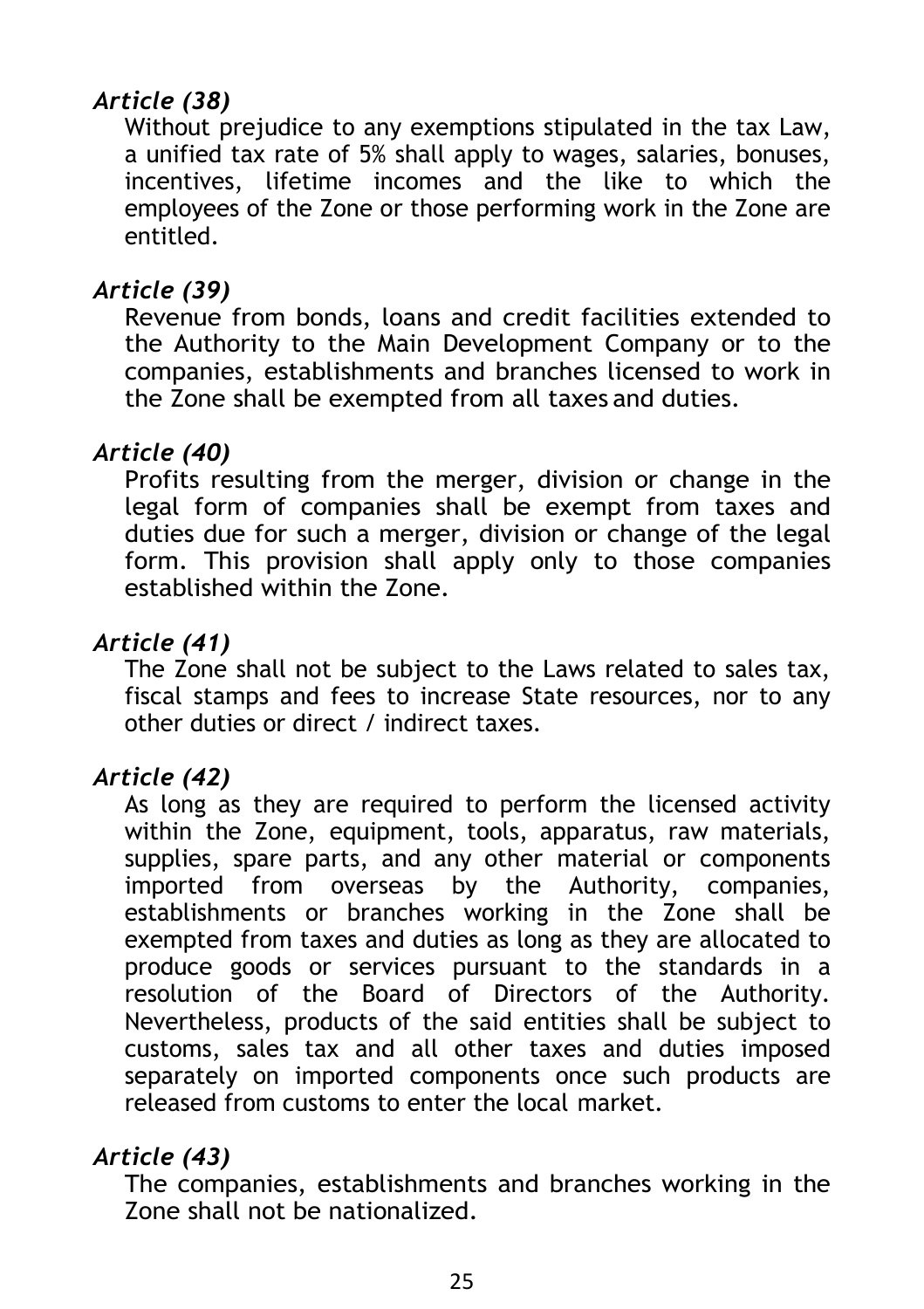## *Article (38)*

Without prejudice to any exemptions stipulated in the tax Law, a unified tax rate of 5% shall apply to wages, salaries, bonuses, incentives, lifetime incomes and the like to which the employees of the Zone or those performing work in the Zone are entitled.

#### *Article (39)*

Revenue from bonds, loans and credit facilities extended to the Authority to the Main Development Company or to the companies, establishments and branches licensed to work in the Zone shall be exempted from all taxes and duties.

#### *Article (40)*

Profits resulting from the merger, division or change in the legal form of companies shall be exempt from taxes and duties due for such a merger, division or change of the legal form. This provision shall apply only to those companies established within the Zone.

#### *Article (41)*

The Zone shall not be subject to the Laws related to sales tax, fiscal stamps and fees to increase State resources, nor to any other duties or direct / indirect taxes.

#### *Article (42)*

As long as they are required to perform the licensed activity within the Zone, equipment, tools, apparatus, raw materials, supplies, spare parts, and any other material or components imported from overseas by the Authority, companies, establishments or branches working in the Zone shall be exempted from taxes and duties as long as they are allocated to produce goods or services pursuant to the standards in a resolution of the Board of Directors of the Authority. Nevertheless, products of the said entities shall be subject to customs, sales tax and all other taxes and duties imposed separately on imported components once such products are released from customs to enter the local market.

#### *Article (43)*

The companies, establishments and branches working in the Zone shall not be nationalized.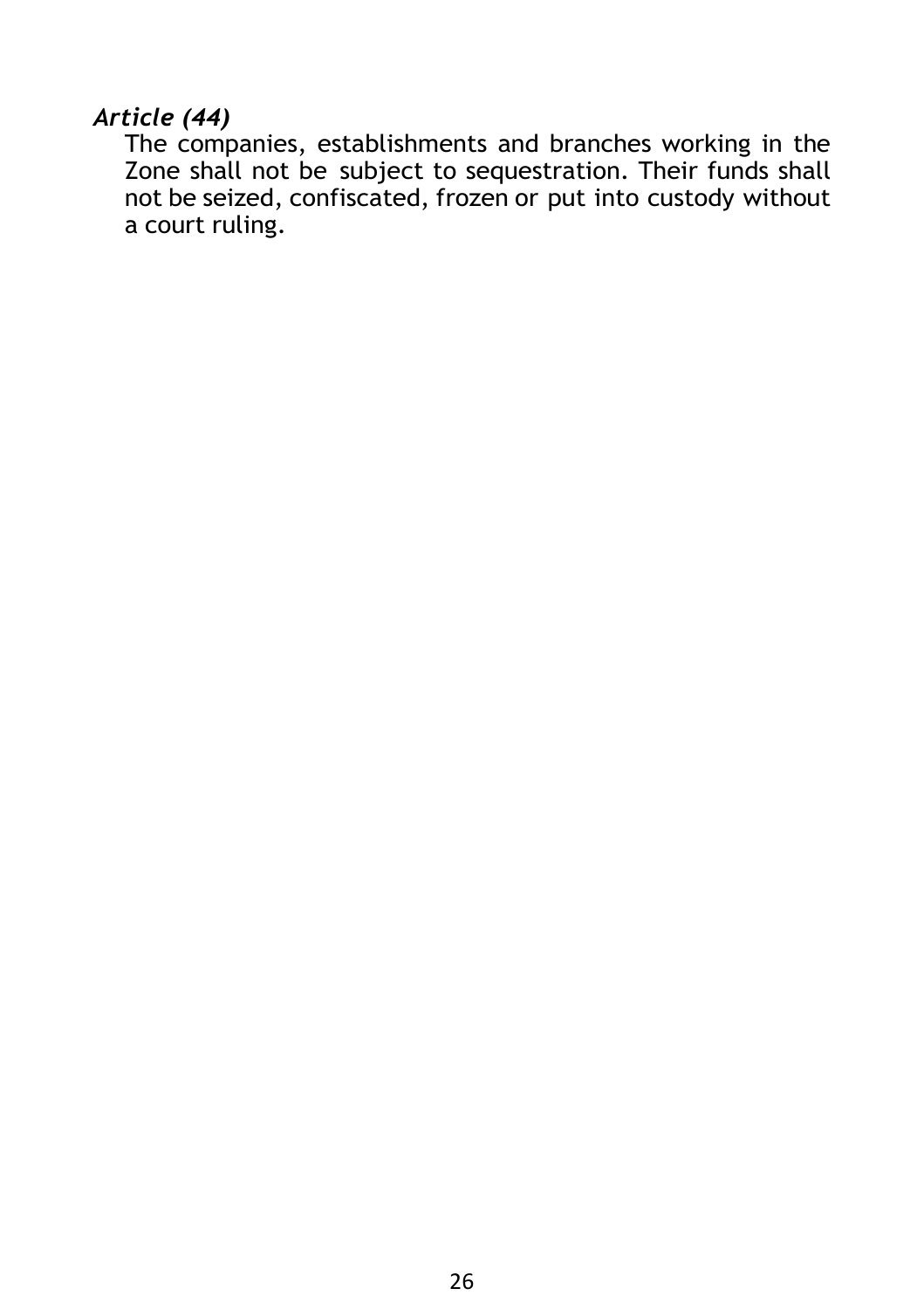#### *Article (44)*

The companies, establishments and branches working in the Zone shall not be subject to sequestration. Their funds shall not be seized, confiscated, frozen or put into custody without a court ruling.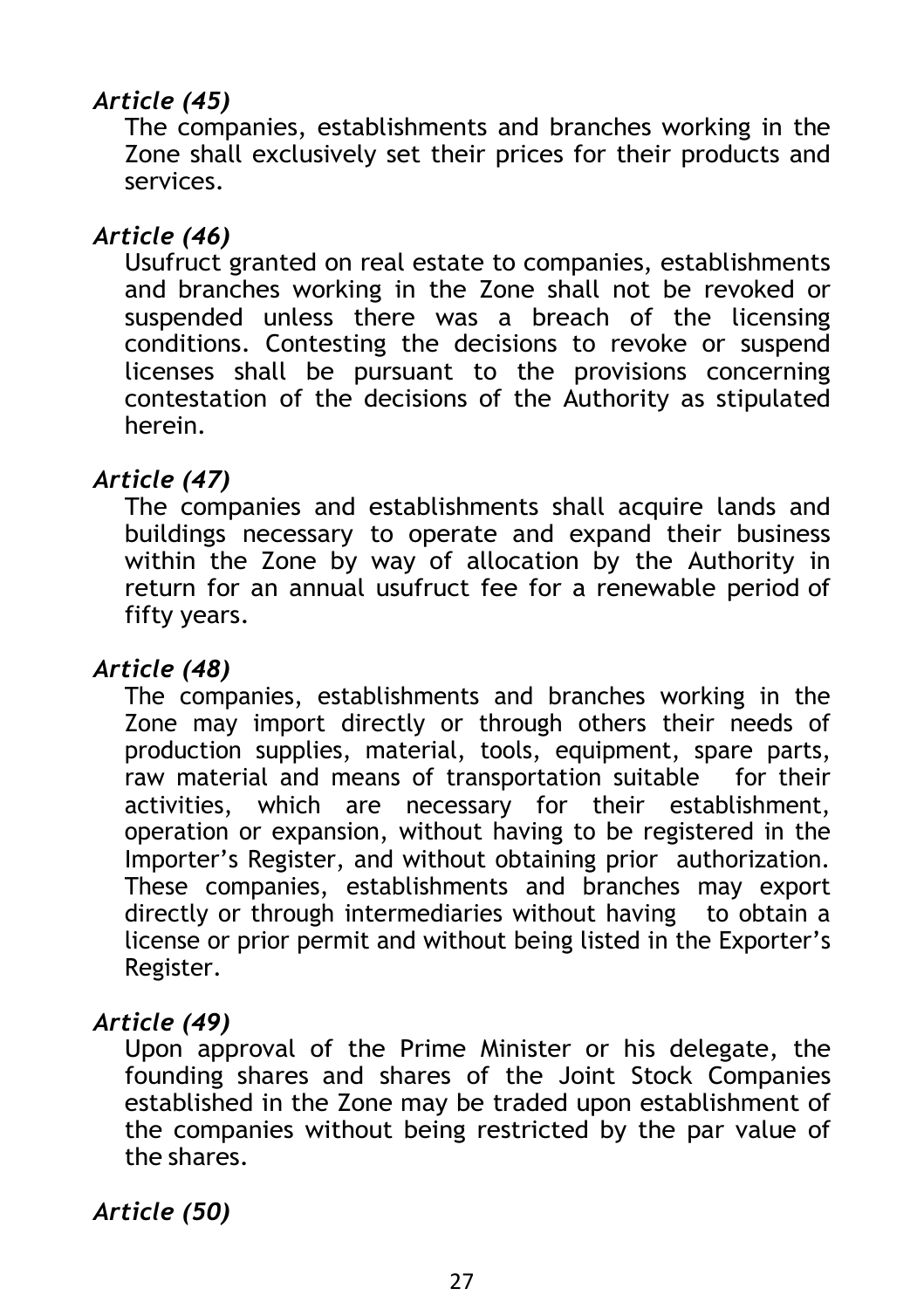## *Article (45)*

The companies, establishments and branches working in the Zone shall exclusively set their prices for their products and services.

#### *Article (46)*

Usufruct granted on real estate to companies, establishments and branches working in the Zone shall not be revoked or suspended unless there was a breach of the licensing conditions. Contesting the decisions to revoke or suspend licenses shall be pursuant to the provisions concerning contestation of the decisions of the Authority as stipulated herein.

#### *Article (47)*

The companies and establishments shall acquire lands and buildings necessary to operate and expand their business within the Zone by way of allocation by the Authority in return for an annual usufruct fee for a renewable period of fifty years.

#### *Article (48)*

The companies, establishments and branches working in the Zone may import directly or through others their needs of production supplies, material, tools, equipment, spare parts, raw material and means of transportation suitable for their activities, which are necessary for their establishment, operation or expansion, without having to be registered in the Importer's Register, and without obtaining prior authorization. These companies, establishments and branches may export directly or through intermediaries without having to obtain a license or prior permit and without being listed in the Exporter's Register.

#### *Article (49)*

Upon approval of the Prime Minister or his delegate, the founding shares and shares of the Joint Stock Companies established in the Zone may be traded upon establishment of the companies without being restricted by the par value of the shares.

*Article (50)*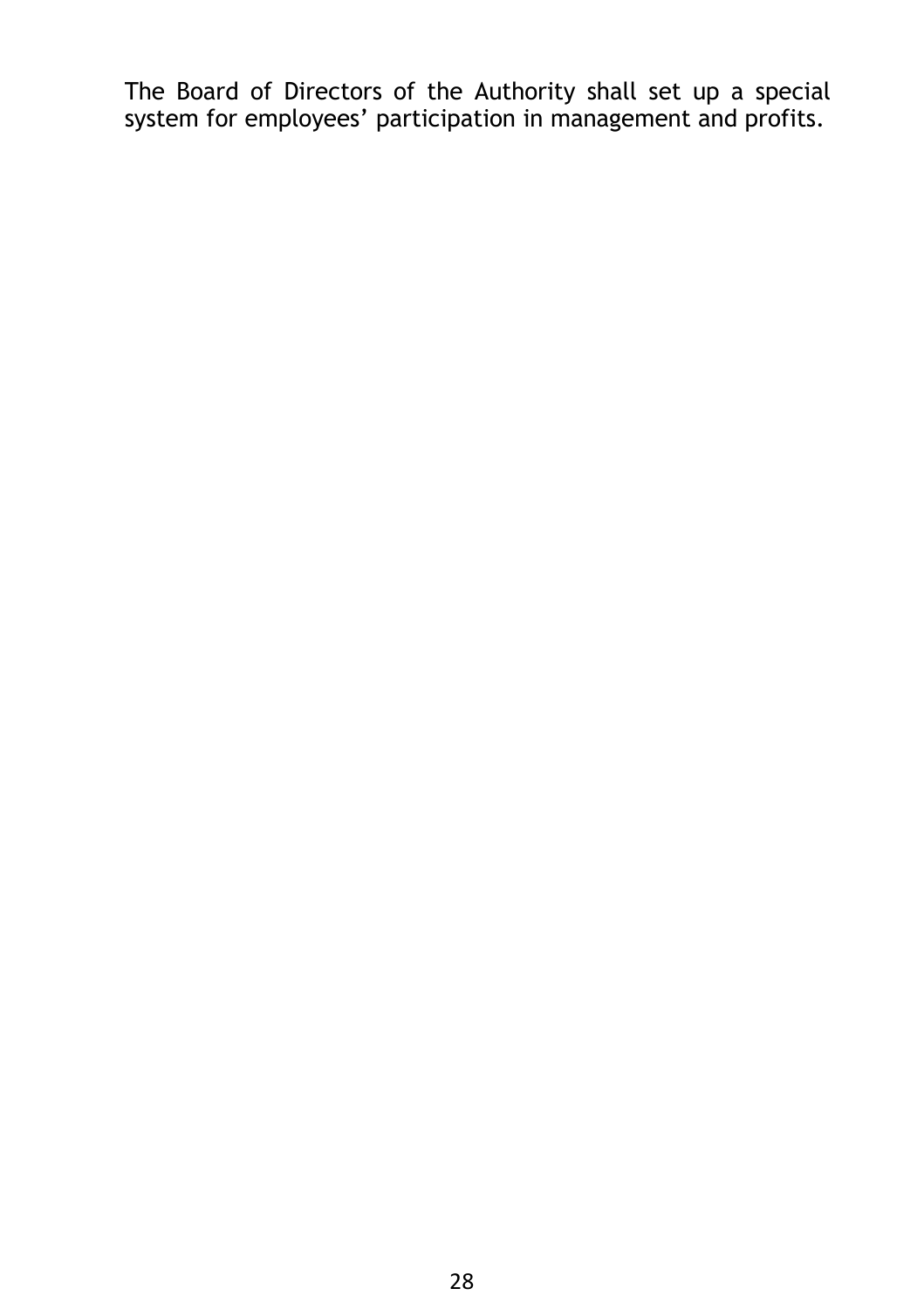The Board of Directors of the Authority shall set up a special system for employees' participation in management and profits.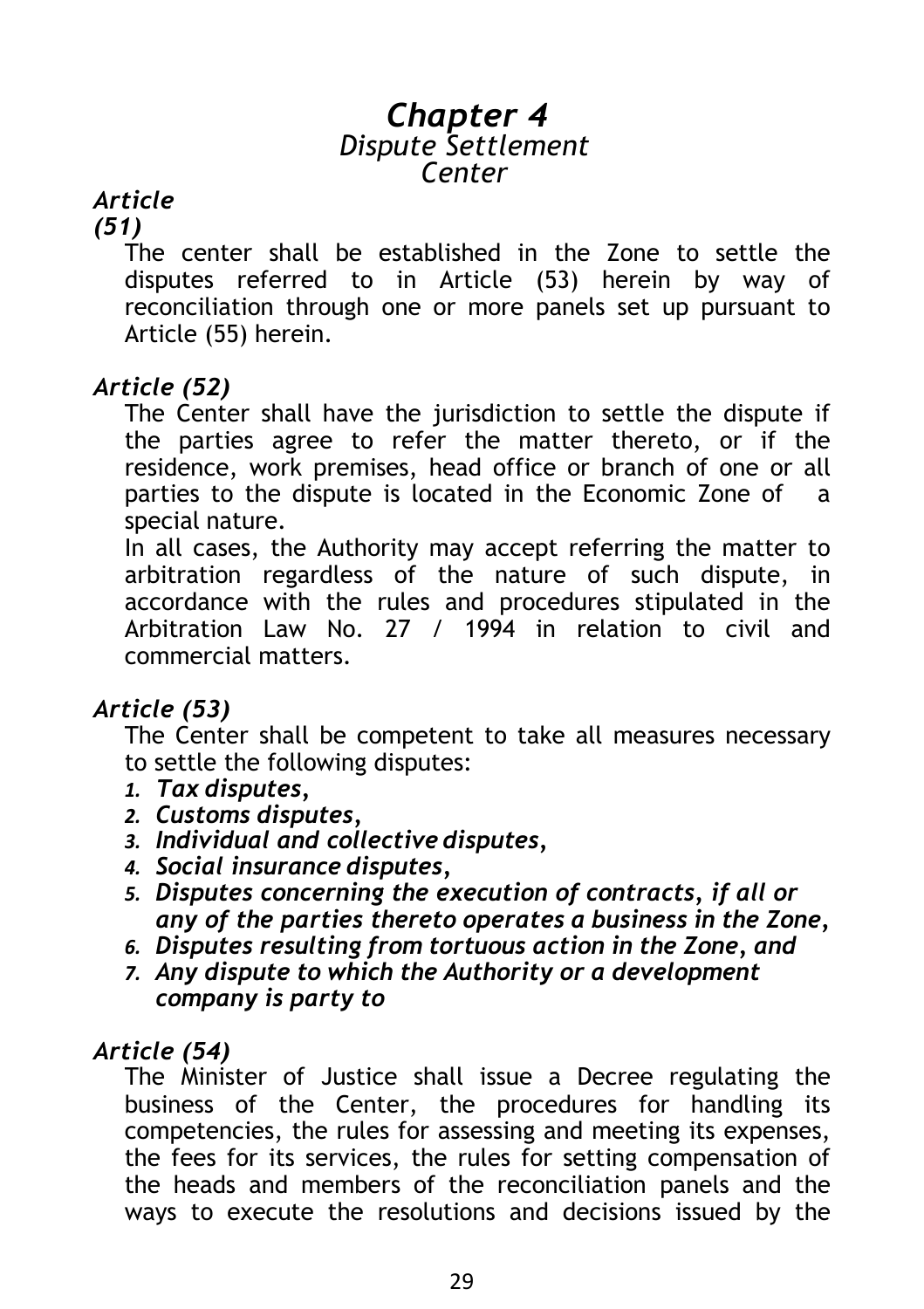## *Chapter 4 Dispute Settlement Center*

## *Article*

### *(51)*

The center shall be established in the Zone to settle the disputes referred to in Article (53) herein by way of reconciliation through one or more panels set up pursuant to Article (55) herein.

### *Article (52)*

The Center shall have the jurisdiction to settle the dispute if the parties agree to refer the matter thereto, or if the residence, work premises, head office or branch of one or all parties to the dispute is located in the Economic Zone of a special nature.

In all cases, the Authority may accept referring the matter to arbitration regardless of the nature of such dispute, in accordance with the rules and procedures stipulated in the Arbitration Law No. 27 / 1994 in relation to civil and commercial matters.

### *Article (53)*

The Center shall be competent to take all measures necessary to settle the following disputes:

- *1. Tax disputes,*
- *2. Customs disputes,*
- *3. Individual and collective disputes,*
- *4. Social insurance disputes,*
- *5. Disputes concerning the execution of contracts, if all or any of the parties thereto operates a business in the Zone,*
- *6. Disputes resulting from tortuous action in the Zone, and*
- *7. Any dispute to which the Authority or a development company is party to*

## *Article (54)*

The Minister of Justice shall issue a Decree regulating the business of the Center, the procedures for handling its competencies, the rules for assessing and meeting its expenses, the fees for its services, the rules for setting compensation of the heads and members of the reconciliation panels and the ways to execute the resolutions and decisions issued by the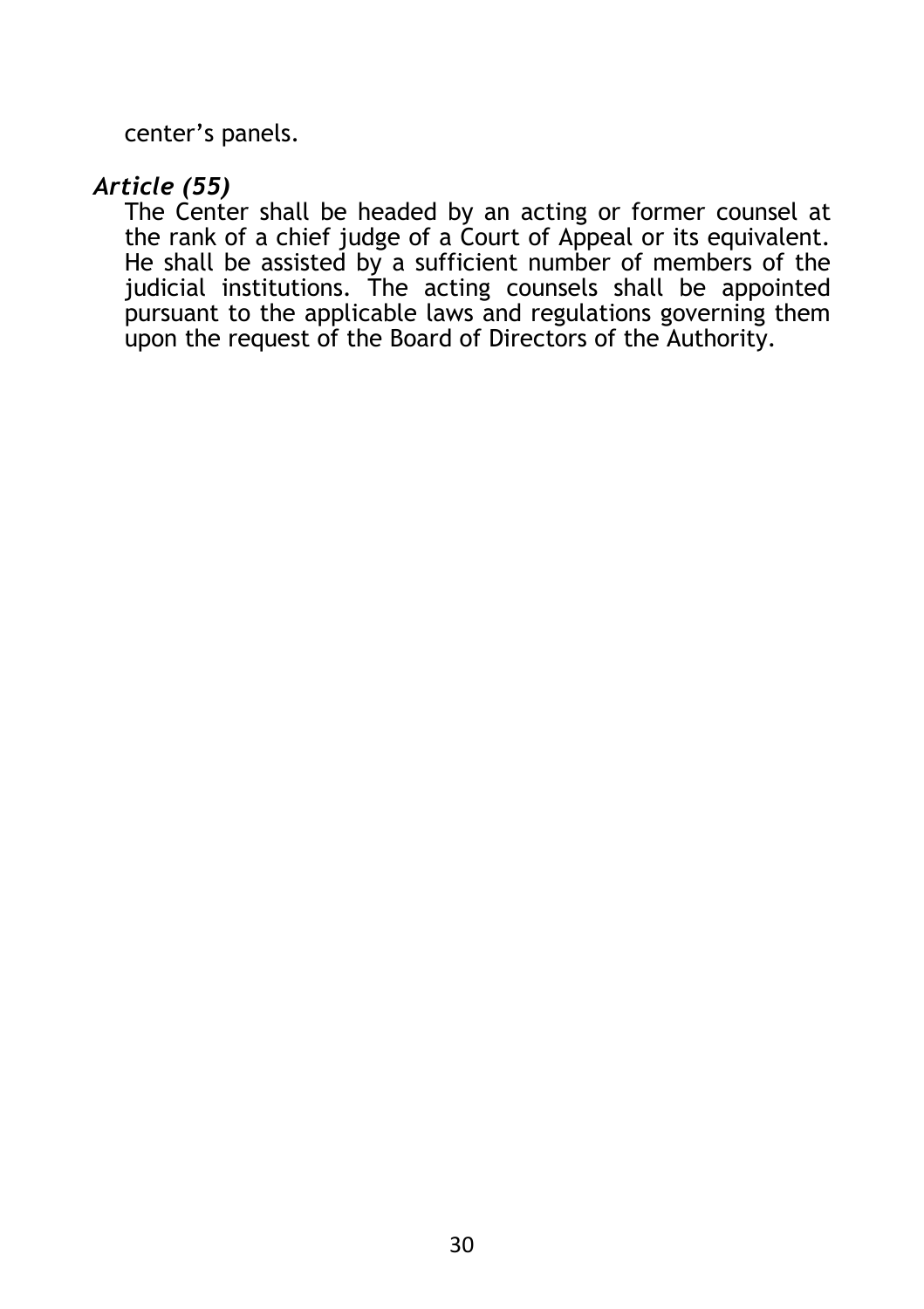center's panels.

#### *Article (55)*

The Center shall be headed by an acting or former counsel at the rank of a chief judge of a Court of Appeal or its equivalent. He shall be assisted by a sufficient number of members of the judicial institutions. The acting counsels shall be appointed pursuant to the applicable laws and regulations governing them upon the request of the Board of Directors of the Authority.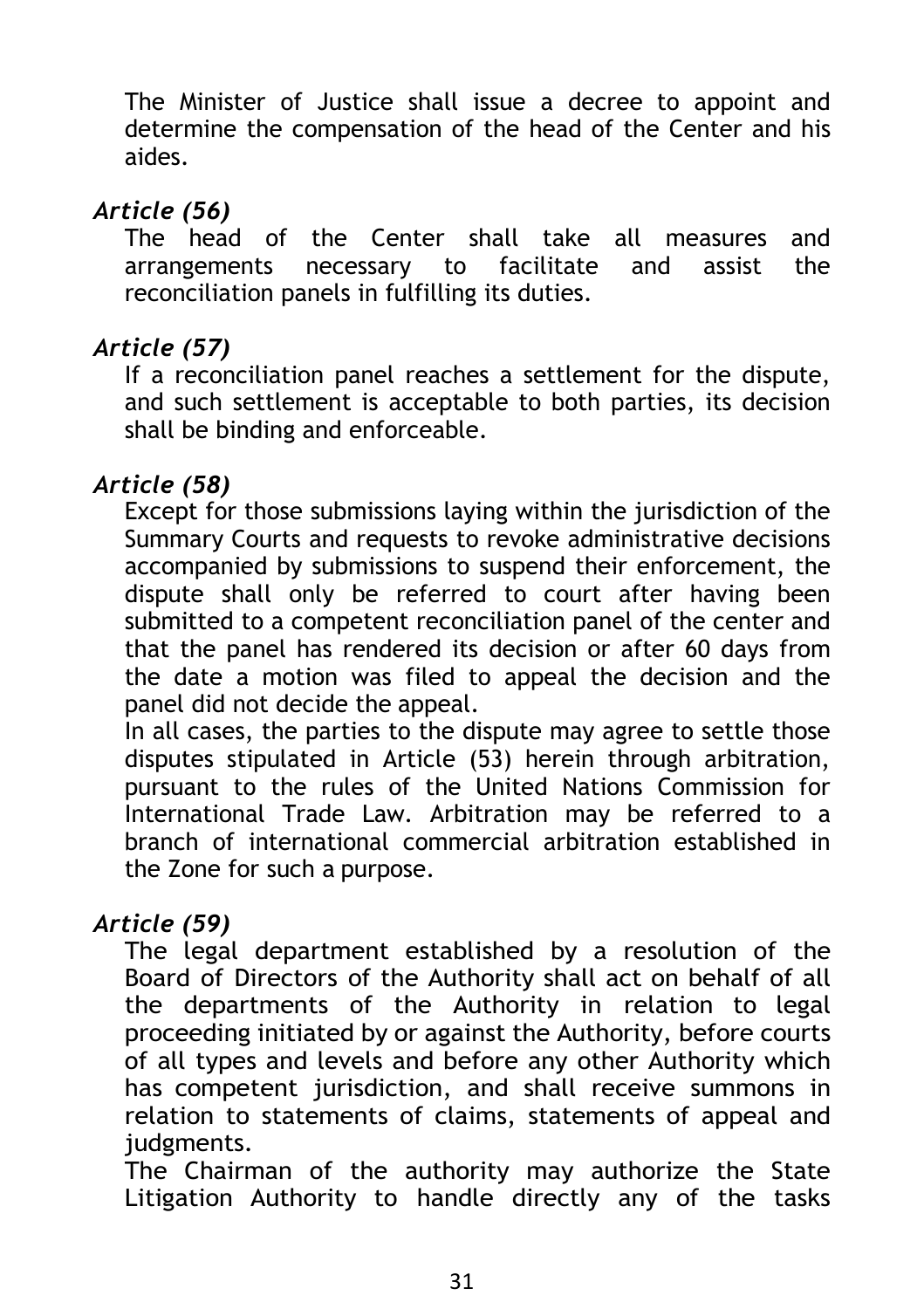The Minister of Justice shall issue a decree to appoint and determine the compensation of the head of the Center and his aides.

## *Article (56)*

The head of the Center shall take all measures and arrangements necessary to facilitate and assist the reconciliation panels in fulfilling its duties.

## *Article (57)*

If a reconciliation panel reaches a settlement for the dispute, and such settlement is acceptable to both parties, its decision shall be binding and enforceable.

## *Article (58)*

Except for those submissions laying within the jurisdiction of the Summary Courts and requests to revoke administrative decisions accompanied by submissions to suspend their enforcement, the dispute shall only be referred to court after having been submitted to a competent reconciliation panel of the center and that the panel has rendered its decision or after 60 days from the date a motion was filed to appeal the decision and the panel did not decide the appeal.

In all cases, the parties to the dispute may agree to settle those disputes stipulated in Article (53) herein through arbitration, pursuant to the rules of the United Nations Commission for International Trade Law. Arbitration may be referred to a branch of international commercial arbitration established in the Zone for such a purpose.

### *Article (59)*

The legal department established by a resolution of the Board of Directors of the Authority shall act on behalf of all the departments of the Authority in relation to legal proceeding initiated by or against the Authority, before courts of all types and levels and before any other Authority which has competent jurisdiction, and shall receive summons in relation to statements of claims, statements of appeal and judgments.

The Chairman of the authority may authorize the State Litigation Authority to handle directly any of the tasks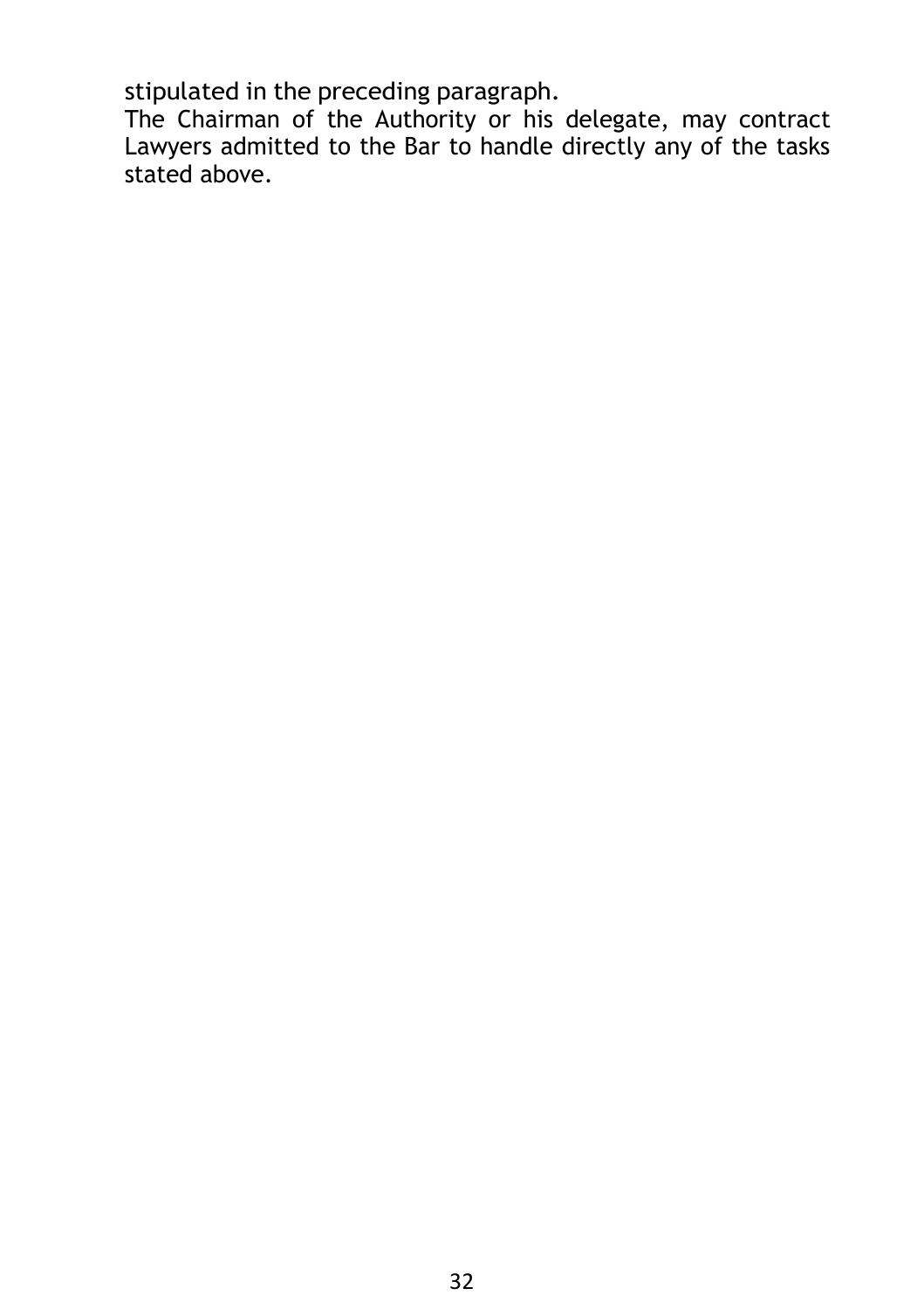stipulated in the preceding paragraph.

The Chairman of the Authority or his delegate, may contract Lawyers admitted to the Bar to handle directly any of the tasks stated above.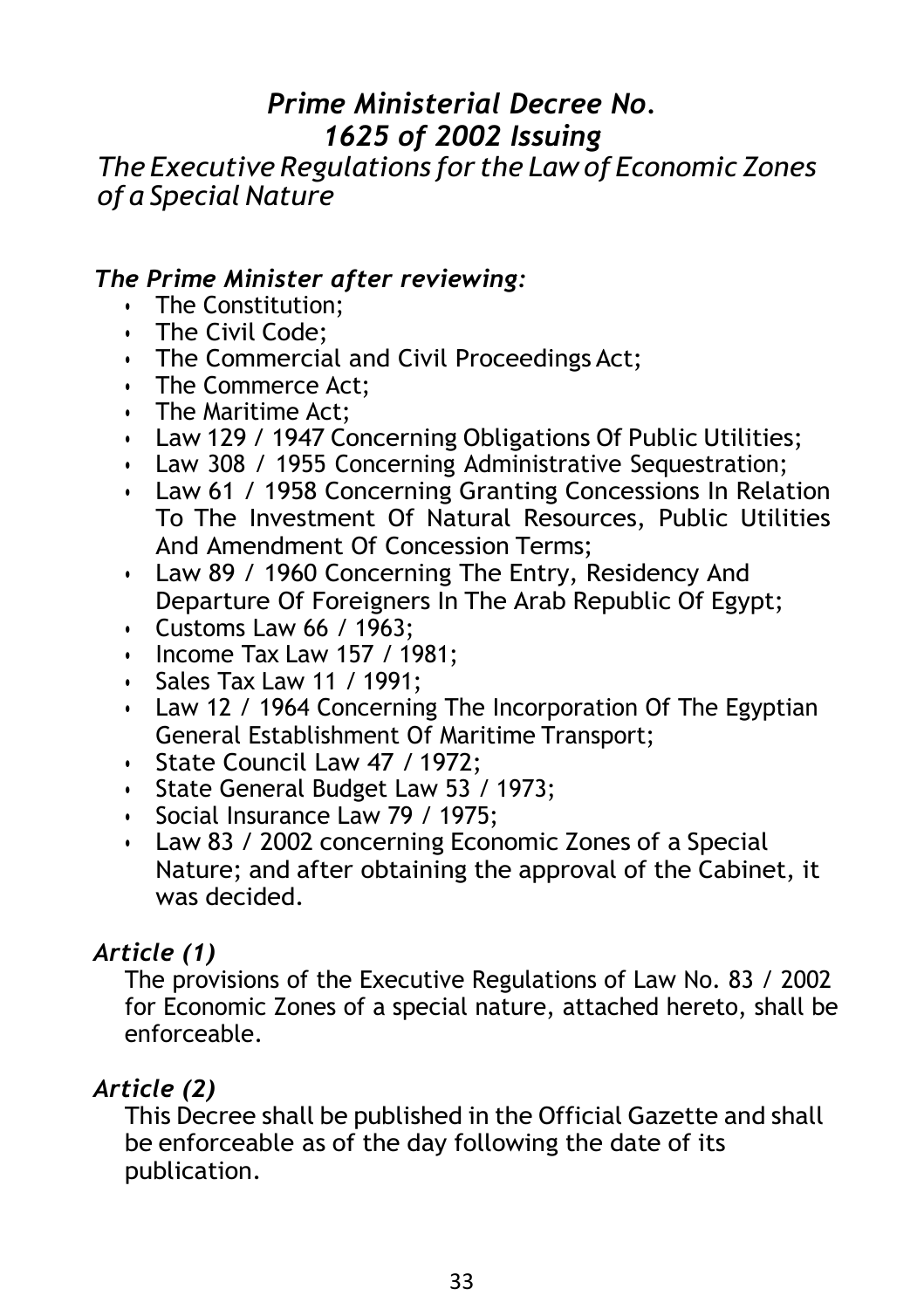## *Prime Ministerial Decree No. 1625 of 2002 Issuing*

*The Executive Regulations for the Law of Economic Zones of a Special Nature*

## *The Prime Minister after reviewing:*

- The Constitution;
- The Civil Code;
- The Commercial and Civil Proceedings Act;
- The Commerce Act;
- The Maritime Act;
- Law 129 / 1947 Concerning Obligations Of Public Utilities;
- Law 308 / 1955 Concerning Administrative Sequestration;
- Law 61 / 1958 Concerning Granting Concessions In Relation To The Investment Of Natural Resources, Public Utilities And Amendment Of Concession Terms;
- Law 89 / 1960 Concerning The Entry, Residency And Departure Of Foreigners In The Arab Republic Of Egypt;
- Customs Law 66 / 1963;
- Income Tax Law 157 / 1981;
- Sales Tax Law 11 / 1991;
- Law 12 / 1964 Concerning The Incorporation Of The Egyptian General Establishment Of Maritime Transport;
- State Council Law 47 / 1972;
- State General Budget Law 53 / 1973;
- Social Insurance Law 79 / 1975;
- Law 83 / 2002 concerning Economic Zones of a Special Nature; and after obtaining the approval of the Cabinet, it was decided.

#### *Article (1)*

The provisions of the Executive Regulations of Law No. 83 / 2002 for Economic Zones of a special nature, attached hereto, shall be enforceable.

#### *Article (2)*

This Decree shall be published in the Official Gazette and shall be enforceable as of the day following the date of its publication.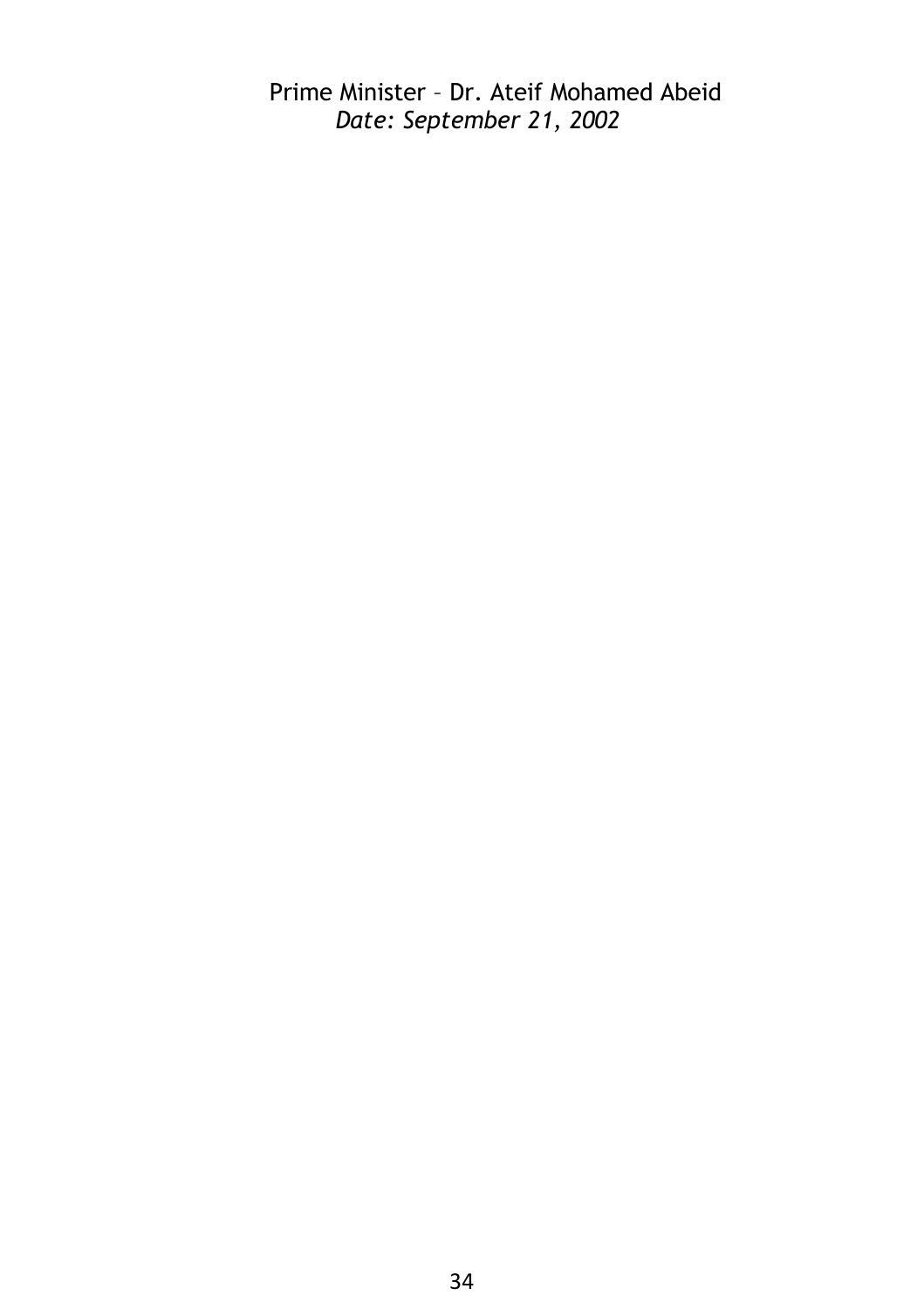Prime Minister – Dr. Ateif Mohamed Abeid *Date: September 21, 2002*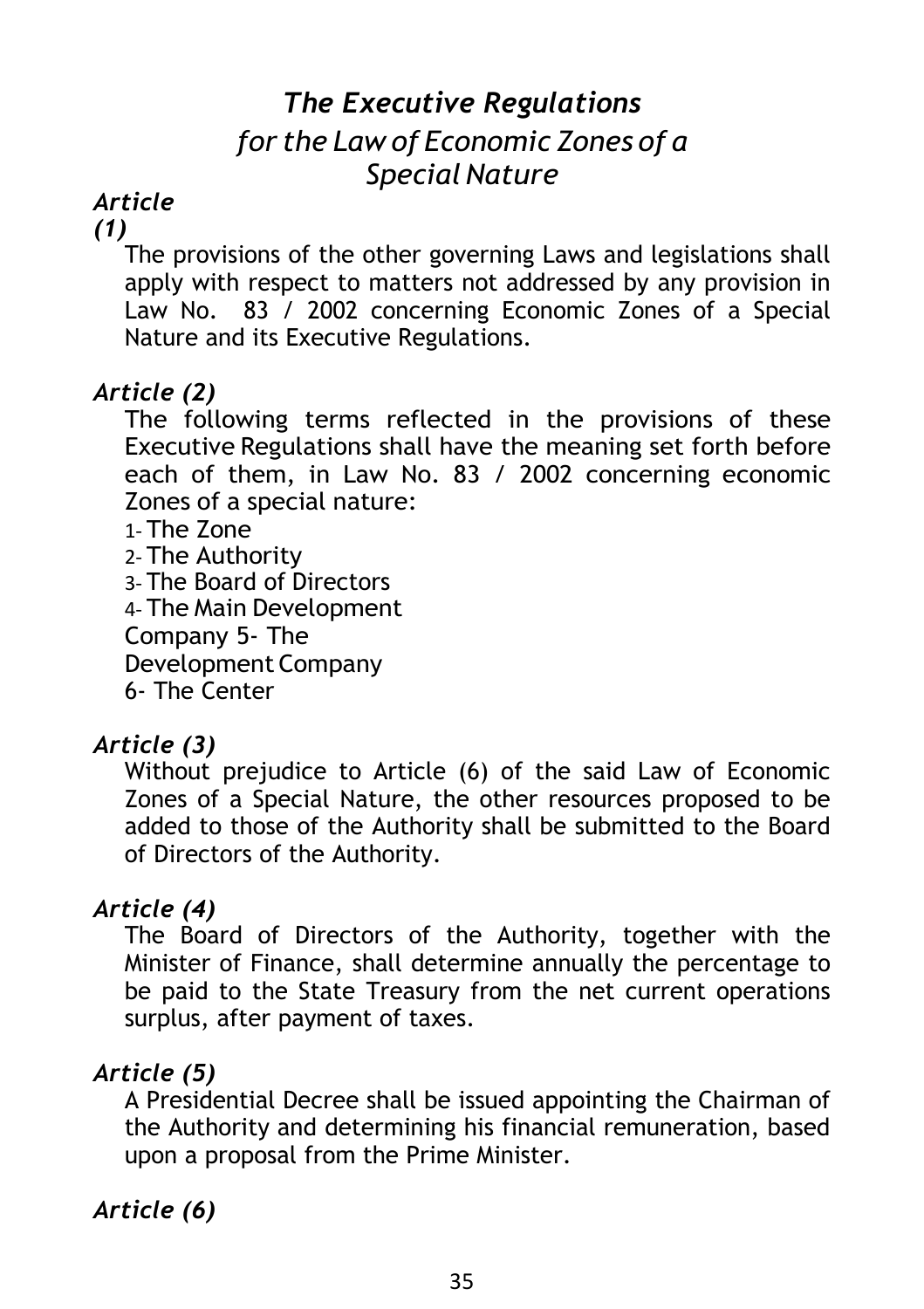## *The Executive Regulations for the Law of Economic Zones of a Special Nature*

## *Article*

#### *(1)*

The provisions of the other governing Laws and legislations shall apply with respect to matters not addressed by any provision in Law No. 83 / 2002 concerning Economic Zones of a Special Nature and its Executive Regulations.

#### *Article (2)*

The following terms reflected in the provisions of these Executive Regulations shall have the meaning set forth before each of them, in Law No. 83 / 2002 concerning economic Zones of a special nature:

1- The Zone

2- The Authority

3- The Board of Directors

4- The Main Development

Company 5- The

Development Company

6- The Center

### *Article (3)*

Without prejudice to Article (6) of the said Law of Economic Zones of a Special Nature, the other resources proposed to be added to those of the Authority shall be submitted to the Board of Directors of the Authority.

### *Article (4)*

The Board of Directors of the Authority, together with the Minister of Finance, shall determine annually the percentage to be paid to the State Treasury from the net current operations surplus, after payment of taxes.

### *Article (5)*

A Presidential Decree shall be issued appointing the Chairman of the Authority and determining his financial remuneration, based upon a proposal from the Prime Minister.

## *Article (6)*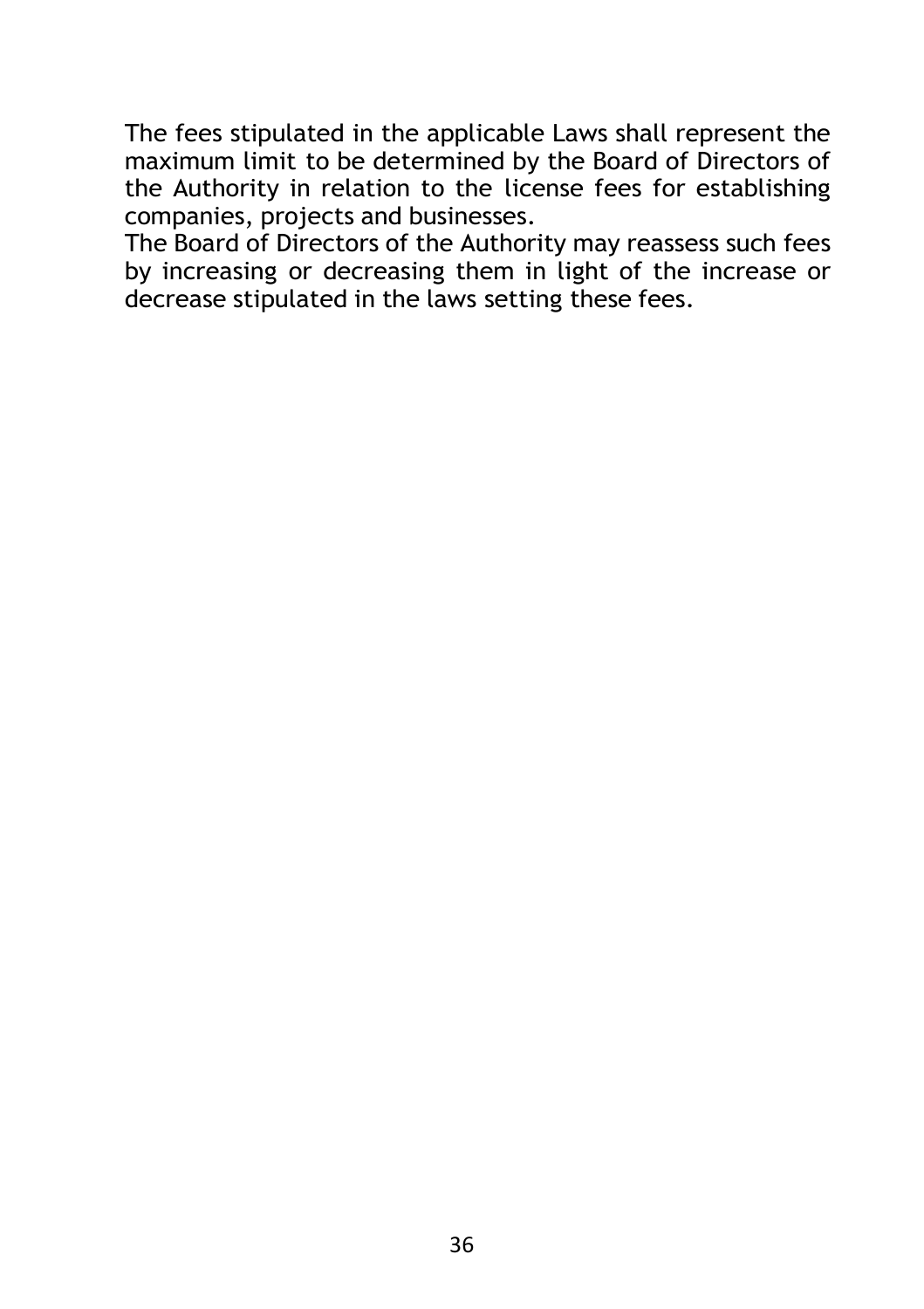The fees stipulated in the applicable Laws shall represent the maximum limit to be determined by the Board of Directors of the Authority in relation to the license fees for establishing companies, projects and businesses.

The Board of Directors of the Authority may reassess such fees by increasing or decreasing them in light of the increase or decrease stipulated in the laws setting these fees.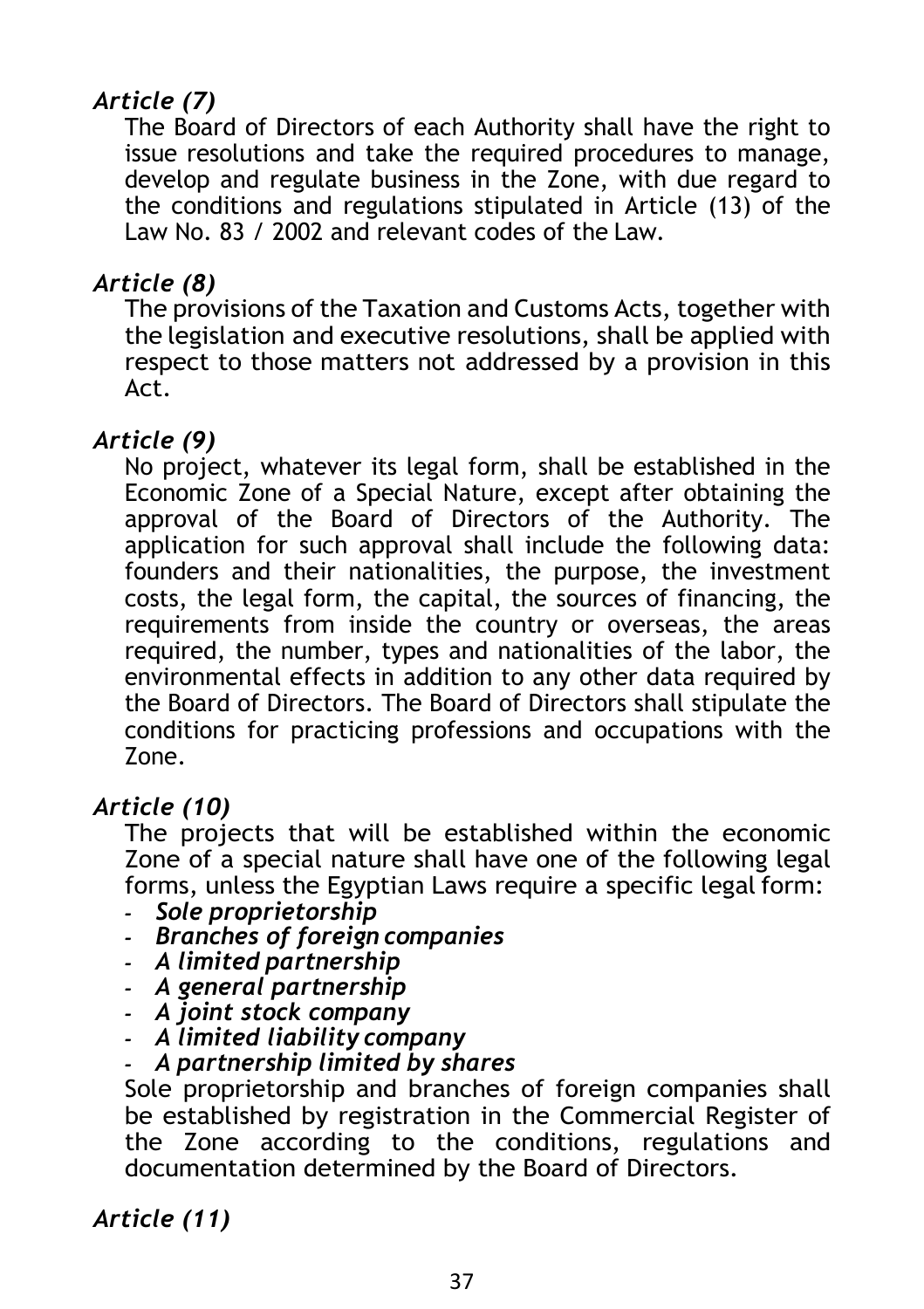## *Article (7)*

The Board of Directors of each Authority shall have the right to issue resolutions and take the required procedures to manage, develop and regulate business in the Zone, with due regard to the conditions and regulations stipulated in Article (13) of the Law No. 83 / 2002 and relevant codes of the Law.

#### *Article (8)*

The provisions of the Taxation and Customs Acts, together with the legislation and executive resolutions, shall be applied with respect to those matters not addressed by a provision in this Act.

#### *Article (9)*

No project, whatever its legal form, shall be established in the Economic Zone of a Special Nature, except after obtaining the approval of the Board of Directors of the Authority. The application for such approval shall include the following data: founders and their nationalities, the purpose, the investment costs, the legal form, the capital, the sources of financing, the requirements from inside the country or overseas, the areas required, the number, types and nationalities of the labor, the environmental effects in addition to any other data required by the Board of Directors. The Board of Directors shall stipulate the conditions for practicing professions and occupations with the Zone.

#### *Article (10)*

The projects that will be established within the economic Zone of a special nature shall have one of the following legal forms, unless the Egyptian Laws require a specific legal form:

- *- Sole proprietorship*
- *- Branches of foreign companies*
- *- A limited partnership*
- *- A general partnership*
- *- A joint stock company*
- *- A limited liability company*
- *- A partnership limited by shares*

Sole proprietorship and branches of foreign companies shall be established by registration in the Commercial Register of the Zone according to the conditions, regulations and documentation determined by the Board of Directors.

*Article (11)*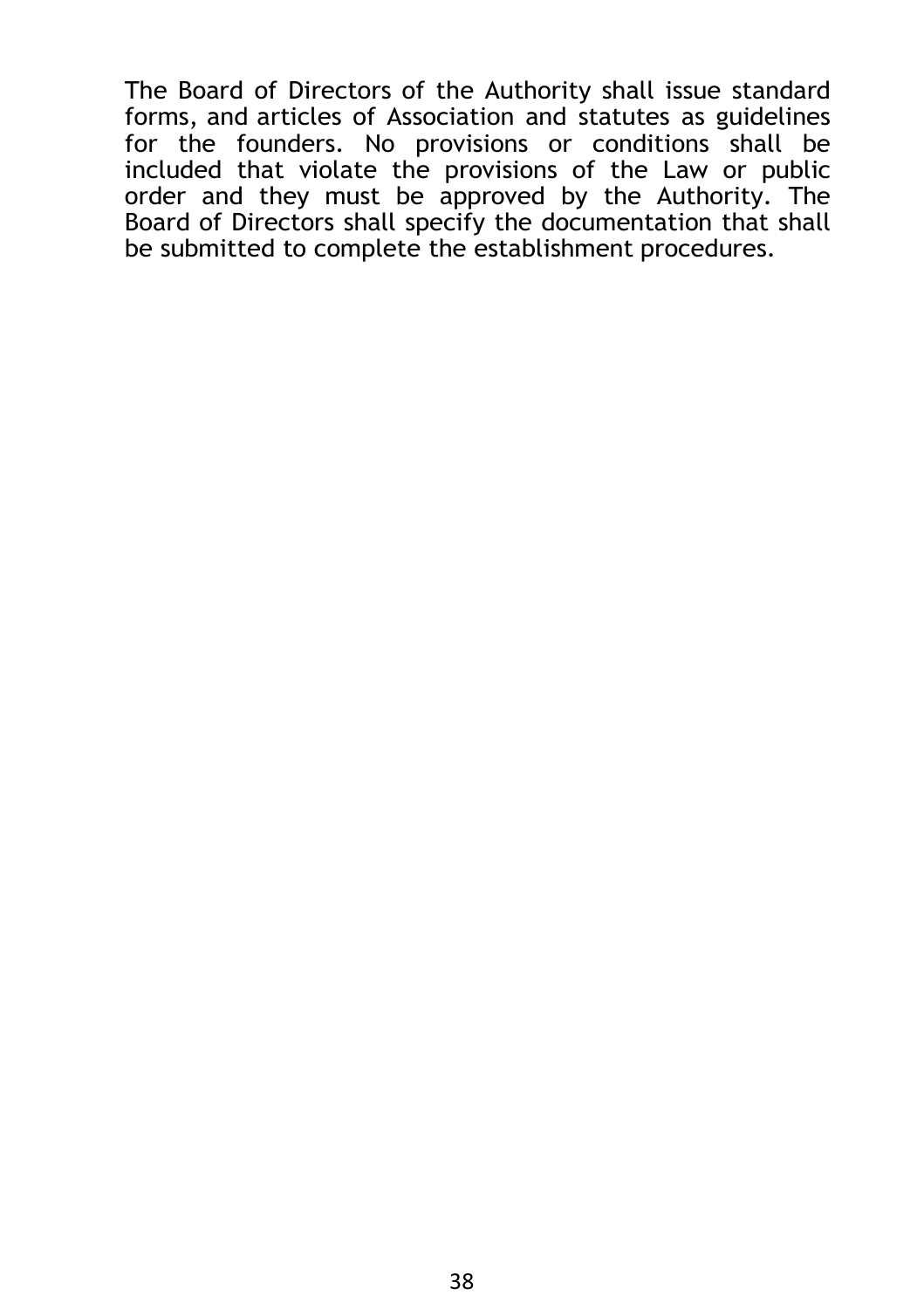The Board of Directors of the Authority shall issue standard forms, and articles of Association and statutes as guidelines for the founders. No provisions or conditions shall be included that violate the provisions of the Law or public order and they must be approved by the Authority. The Board of Directors shall specify the documentation that shall be submitted to complete the establishment procedures.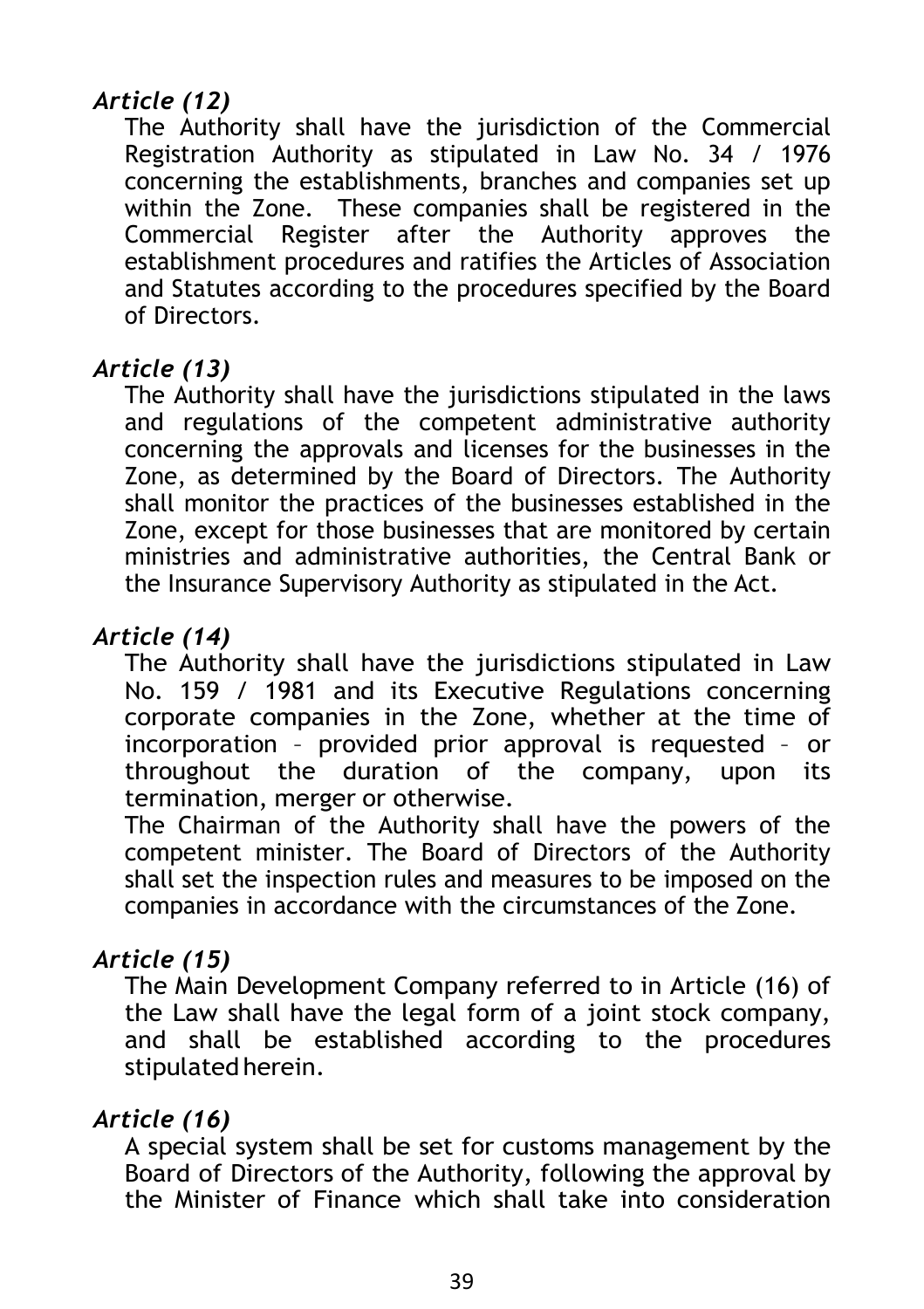## *Article (12)*

The Authority shall have the jurisdiction of the Commercial Registration Authority as stipulated in Law No. 34 / 1976 concerning the establishments, branches and companies set up within the Zone. These companies shall be registered in the Commercial Register after the Authority approves the establishment procedures and ratifies the Articles of Association and Statutes according to the procedures specified by the Board of Directors.

#### *Article (13)*

The Authority shall have the jurisdictions stipulated in the laws and regulations of the competent administrative authority concerning the approvals and licenses for the businesses in the Zone, as determined by the Board of Directors. The Authority shall monitor the practices of the businesses established in the Zone, except for those businesses that are monitored by certain ministries and administrative authorities, the Central Bank or the Insurance Supervisory Authority as stipulated in the Act.

#### *Article (14)*

The Authority shall have the jurisdictions stipulated in Law No. 159 / 1981 and its Executive Regulations concerning corporate companies in the Zone, whether at the time of incorporation – provided prior approval is requested – or throughout the duration of the company, upon its termination, merger or otherwise.

The Chairman of the Authority shall have the powers of the competent minister. The Board of Directors of the Authority shall set the inspection rules and measures to be imposed on the companies in accordance with the circumstances of the Zone.

### *Article (15)*

The Main Development Company referred to in Article (16) of the Law shall have the legal form of a joint stock company, and shall be established according to the procedures stipulated herein.

#### *Article (16)*

A special system shall be set for customs management by the Board of Directors of the Authority, following the approval by the Minister of Finance which shall take into consideration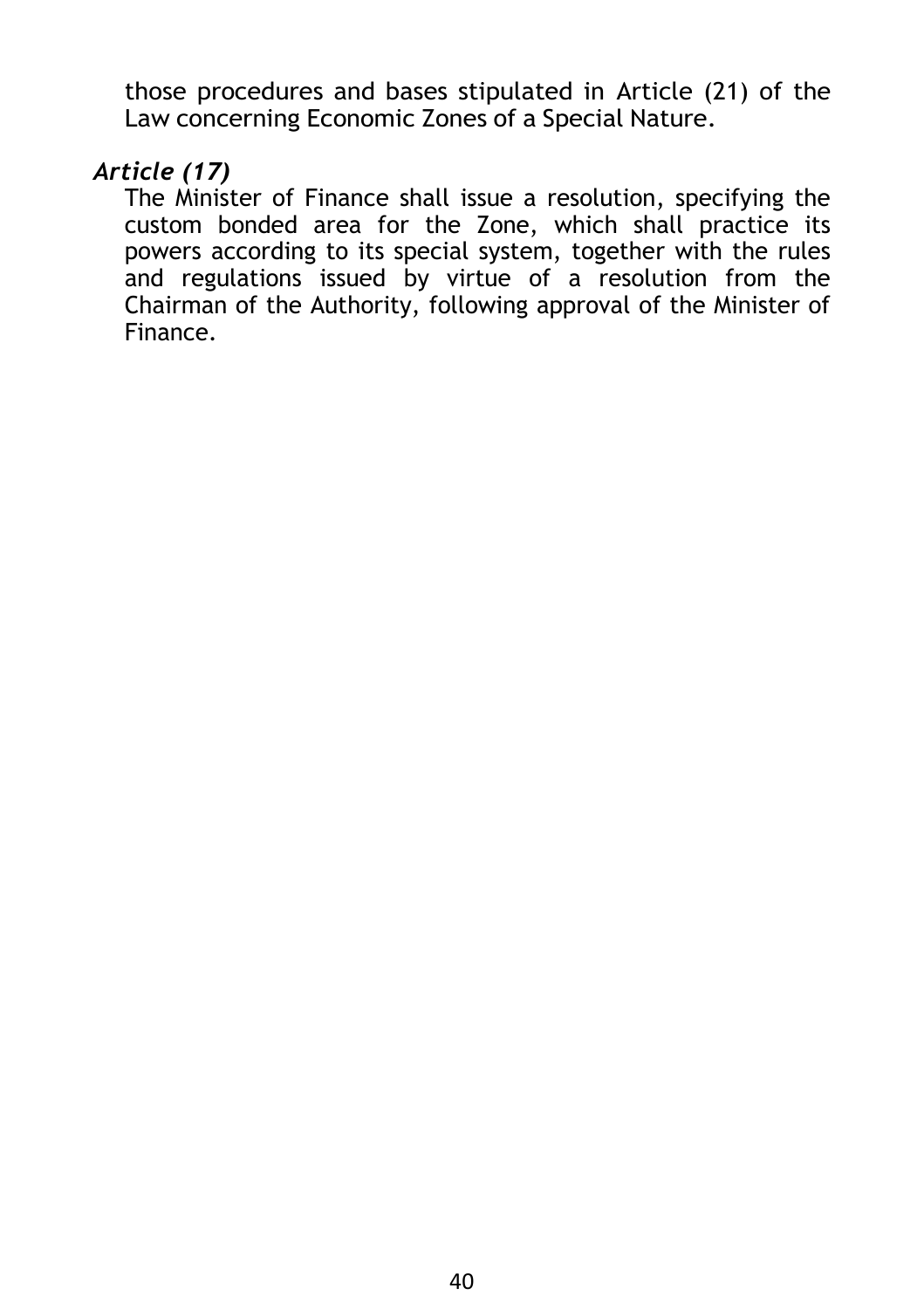those procedures and bases stipulated in Article (21) of the Law concerning Economic Zones of a Special Nature.

#### *Article (17)*

The Minister of Finance shall issue a resolution, specifying the custom bonded area for the Zone, which shall practice its powers according to its special system, together with the rules and regulations issued by virtue of a resolution from the Chairman of the Authority, following approval of the Minister of Finance.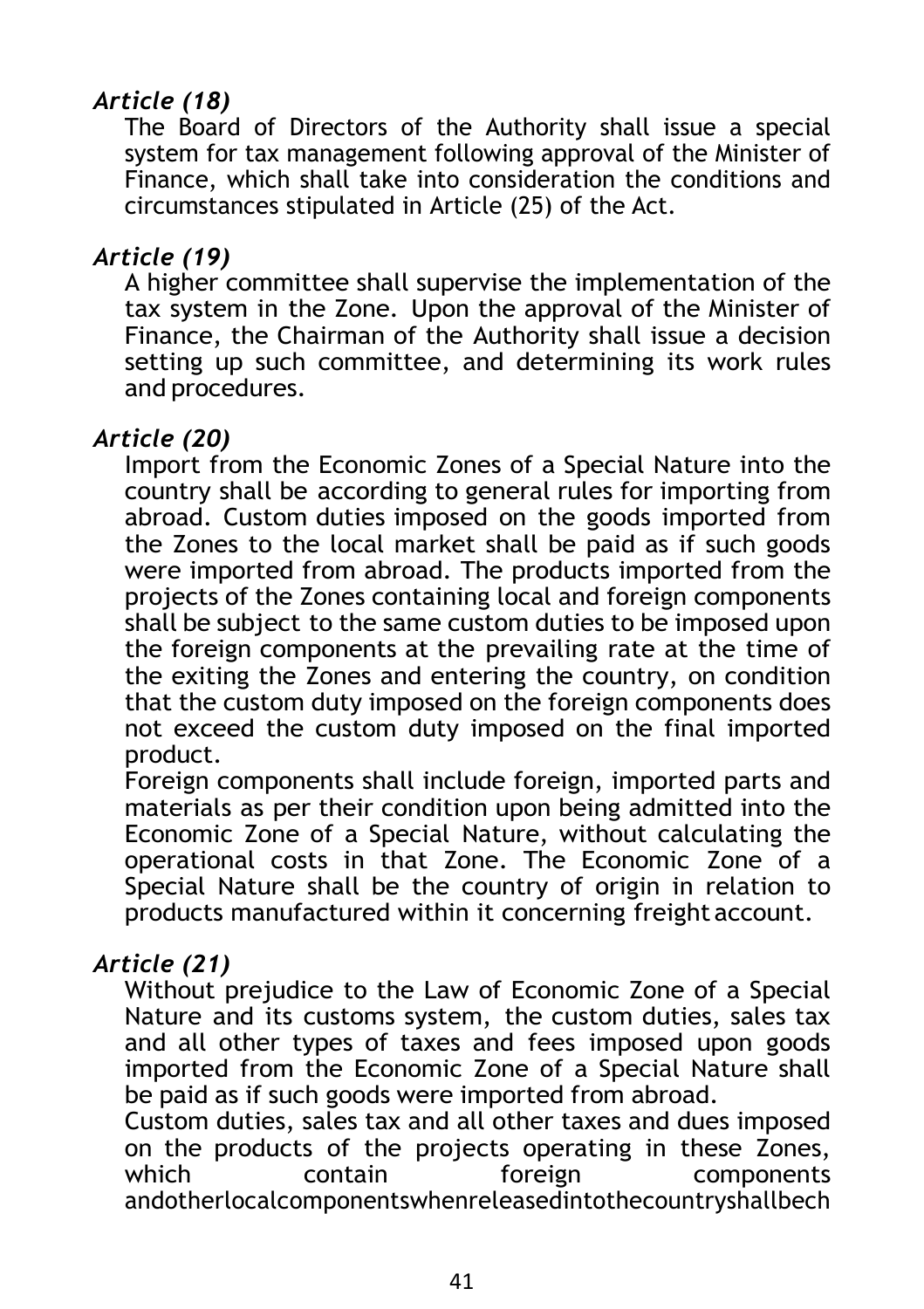## *Article (18)*

The Board of Directors of the Authority shall issue a special system for tax management following approval of the Minister of Finance, which shall take into consideration the conditions and circumstances stipulated in Article (25) of the Act.

#### *Article (19)*

A higher committee shall supervise the implementation of the tax system in the Zone. Upon the approval of the Minister of Finance, the Chairman of the Authority shall issue a decision setting up such committee, and determining its work rules and procedures.

#### *Article (20)*

Import from the Economic Zones of a Special Nature into the country shall be according to general rules for importing from abroad. Custom duties imposed on the goods imported from the Zones to the local market shall be paid as if such goods were imported from abroad. The products imported from the projects of the Zones containing local and foreign components shall be subject to the same custom duties to be imposed upon the foreign components at the prevailing rate at the time of the exiting the Zones and entering the country, on condition that the custom duty imposed on the foreign components does not exceed the custom duty imposed on the final imported product.

Foreign components shall include foreign, imported parts and materials as per their condition upon being admitted into the Economic Zone of a Special Nature, without calculating the operational costs in that Zone. The Economic Zone of a Special Nature shall be the country of origin in relation to products manufactured within it concerning freight account.

#### *Article (21)*

Without prejudice to the Law of Economic Zone of a Special Nature and its customs system, the custom duties, sales tax and all other types of taxes and fees imposed upon goods imported from the Economic Zone of a Special Nature shall be paid as if such goods were imported from abroad.

Custom duties, sales tax and all other taxes and dues imposed on the products of the projects operating in these Zones,<br>which contain toreign components which contain foreign components andotherlocalcomponentswhenreleasedintothecountryshallbech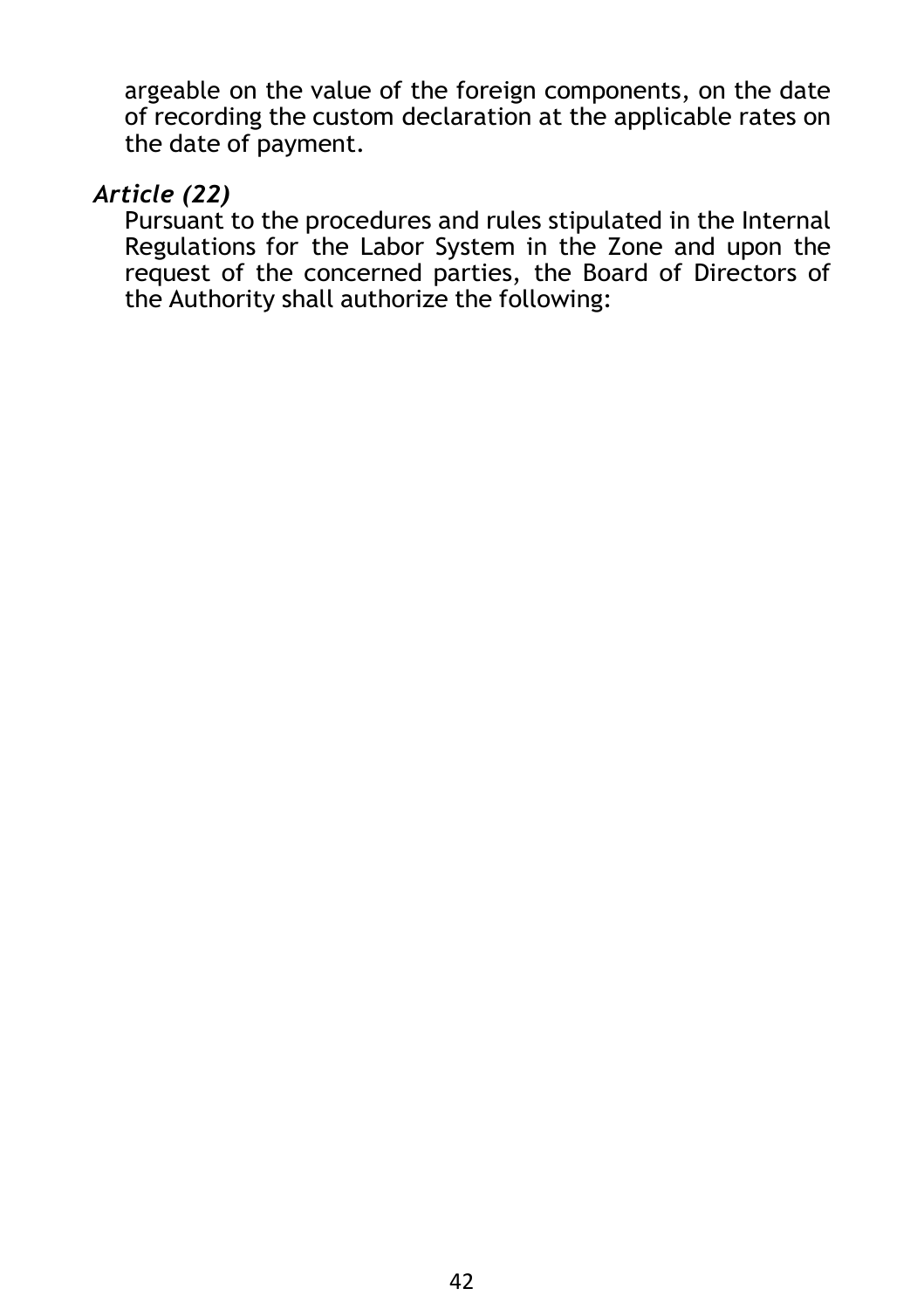argeable on the value of the foreign components, on the date of recording the custom declaration at the applicable rates on the date of payment.

#### *Article (22)*

Pursuant to the procedures and rules stipulated in the Internal Regulations for the Labor System in the Zone and upon the request of the concerned parties, the Board of Directors of the Authority shall authorize the following: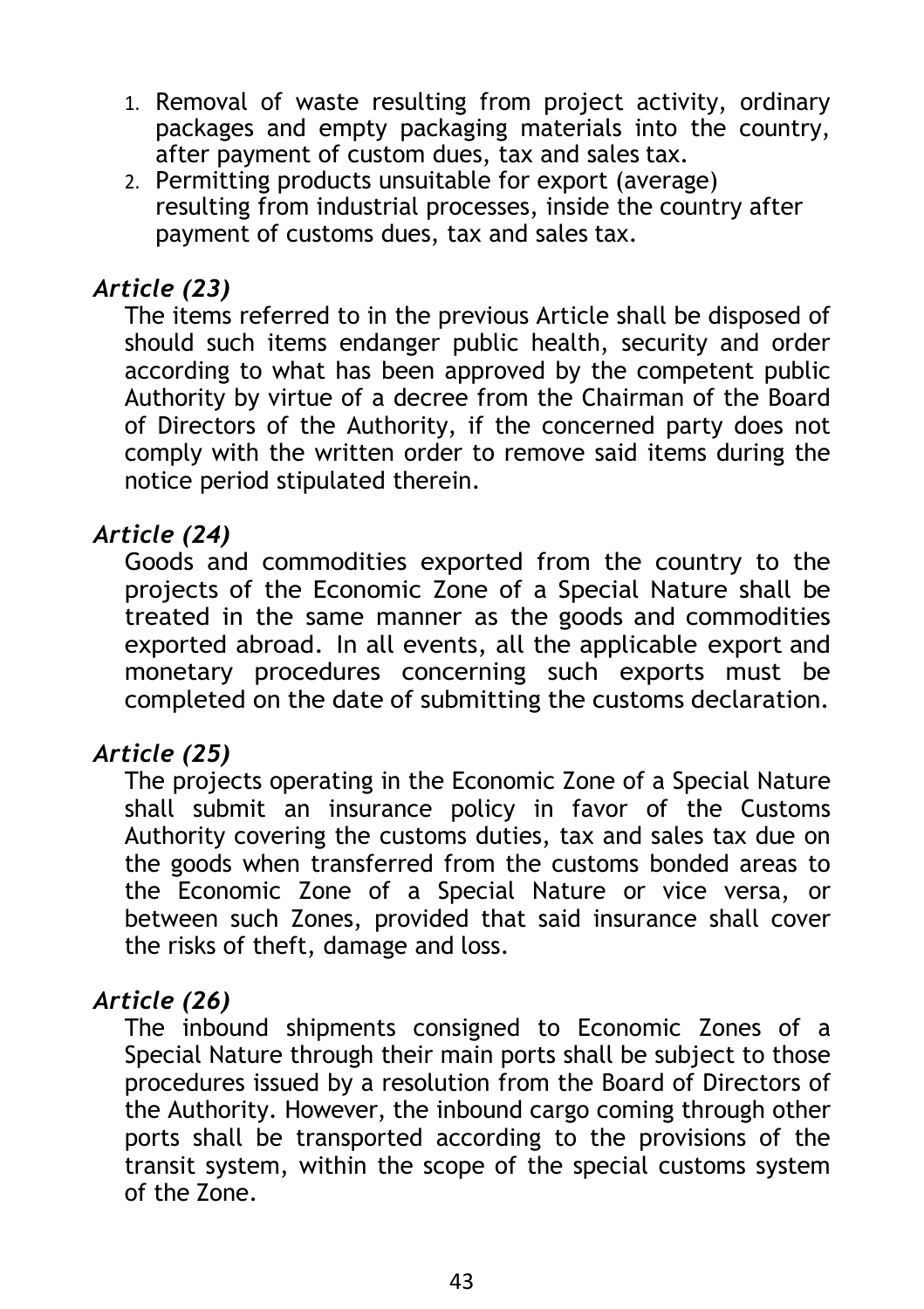- 1. Removal of waste resulting from project activity, ordinary packages and empty packaging materials into the country, after payment of custom dues, tax and sales tax.
- 2. Permitting products unsuitable for export (average) resulting from industrial processes, inside the country after payment of customs dues, tax and sales tax.

#### *Article (23)*

The items referred to in the previous Article shall be disposed of should such items endanger public health, security and order according to what has been approved by the competent public Authority by virtue of a decree from the Chairman of the Board of Directors of the Authority, if the concerned party does not comply with the written order to remove said items during the notice period stipulated therein.

#### *Article (24)*

Goods and commodities exported from the country to the projects of the Economic Zone of a Special Nature shall be treated in the same manner as the goods and commodities exported abroad. In all events, all the applicable export and monetary procedures concerning such exports must be completed on the date of submitting the customs declaration.

#### *Article (25)*

The projects operating in the Economic Zone of a Special Nature shall submit an insurance policy in favor of the Customs Authority covering the customs duties, tax and sales tax due on the goods when transferred from the customs bonded areas to the Economic Zone of a Special Nature or vice versa, or between such Zones, provided that said insurance shall cover the risks of theft, damage and loss.

#### *Article (26)*

The inbound shipments consigned to Economic Zones of a Special Nature through their main ports shall be subject to those procedures issued by a resolution from the Board of Directors of the Authority. However, the inbound cargo coming through other ports shall be transported according to the provisions of the transit system, within the scope of the special customs system of the Zone.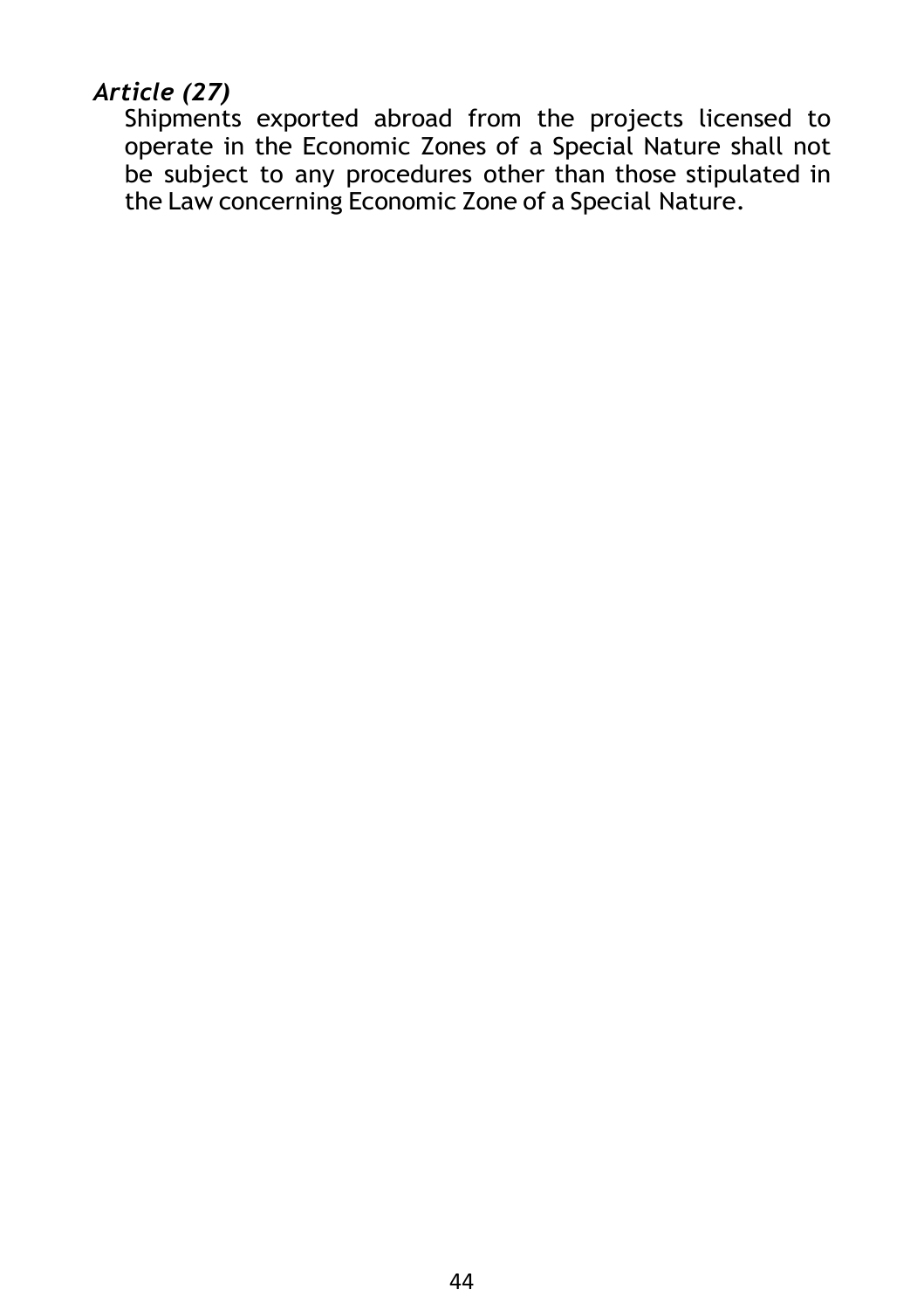## *Article (27)*

Shipments exported abroad from the projects licensed to operate in the Economic Zones of a Special Nature shall not be subject to any procedures other than those stipulated in the Law concerning Economic Zone of a Special Nature.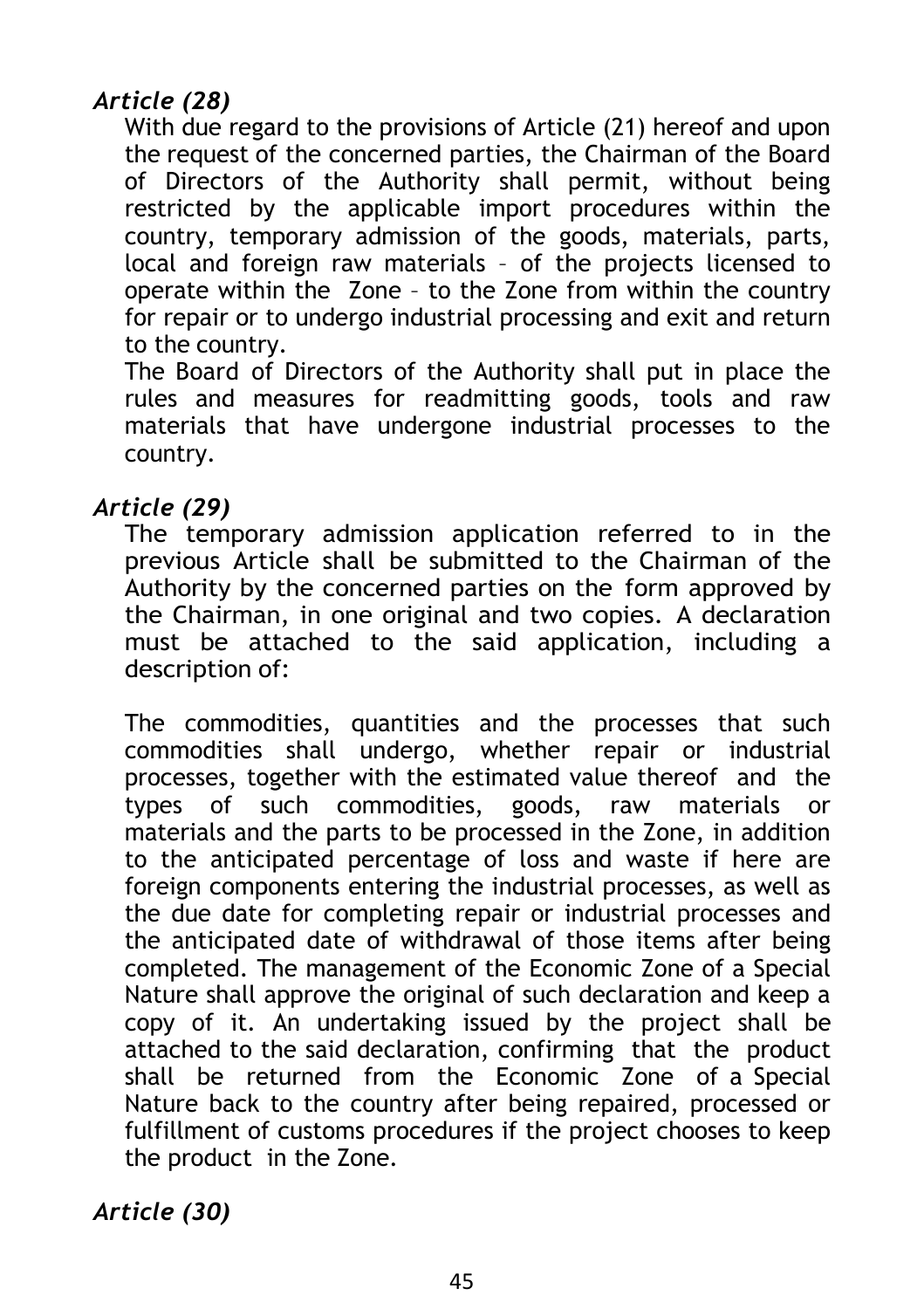## *Article (28)*

With due regard to the provisions of Article (21) hereof and upon the request of the concerned parties, the Chairman of the Board of Directors of the Authority shall permit, without being restricted by the applicable import procedures within the country, temporary admission of the goods, materials, parts, local and foreign raw materials – of the projects licensed to operate within the Zone – to the Zone from within the country for repair or to undergo industrial processing and exit and return to the country.

The Board of Directors of the Authority shall put in place the rules and measures for readmitting goods, tools and raw materials that have undergone industrial processes to the country.

#### *Article (29)*

The temporary admission application referred to in the previous Article shall be submitted to the Chairman of the Authority by the concerned parties on the form approved by the Chairman, in one original and two copies. A declaration must be attached to the said application, including a description of:

The commodities, quantities and the processes that such commodities shall undergo, whether repair or industrial processes, together with the estimated value thereof and the types of such commodities, goods, raw materials or materials and the parts to be processed in the Zone, in addition to the anticipated percentage of loss and waste if here are foreign components entering the industrial processes, as well as the due date for completing repair or industrial processes and the anticipated date of withdrawal of those items after being completed. The management of the Economic Zone of a Special Nature shall approve the original of such declaration and keep a copy of it. An undertaking issued by the project shall be attached to the said declaration, confirming that the product shall be returned from the Economic Zone of a Special Nature back to the country after being repaired, processed or fulfillment of customs procedures if the project chooses to keep the product in the Zone.

*Article (30)*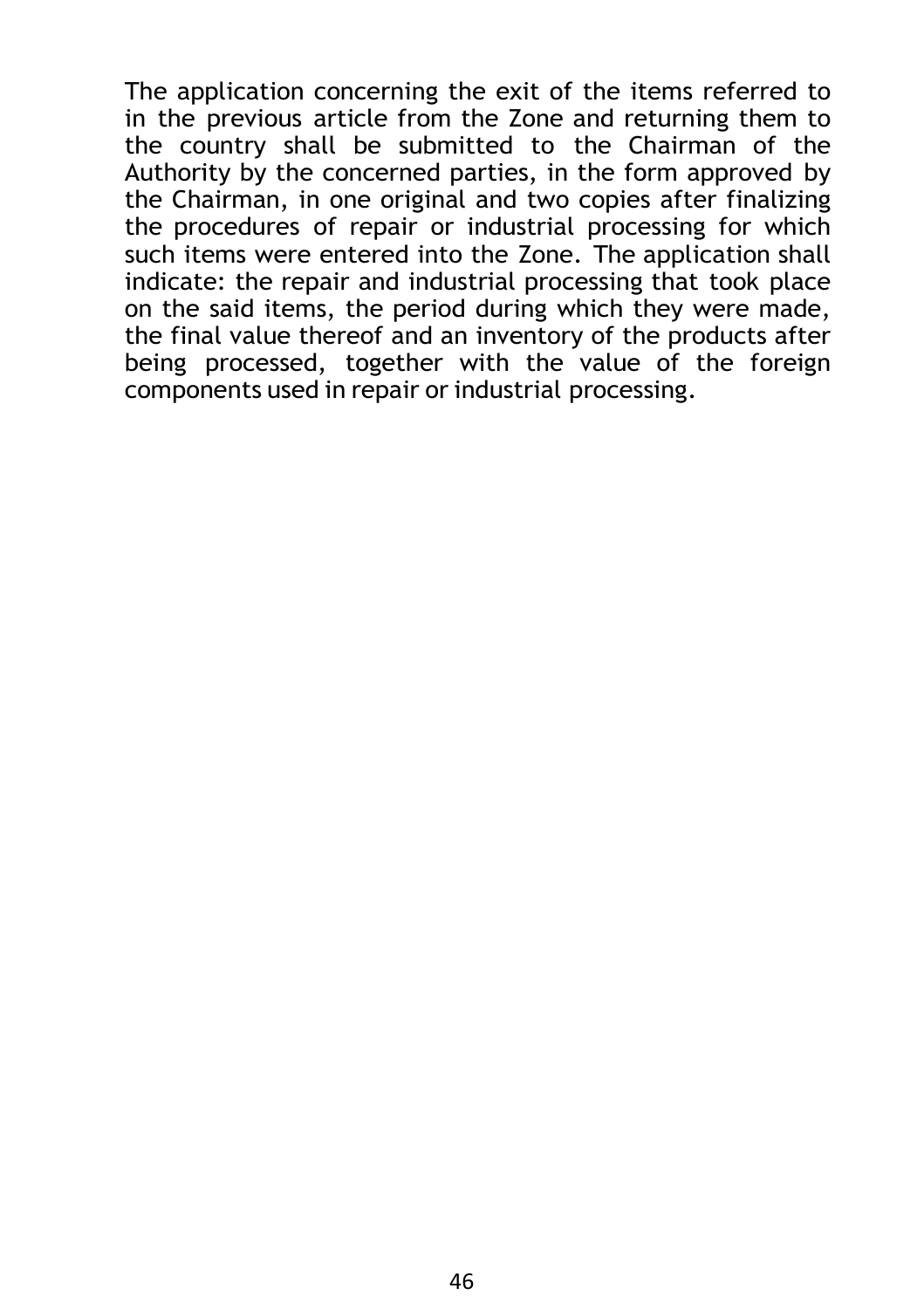The application concerning the exit of the items referred to in the previous article from the Zone and returning them to the country shall be submitted to the Chairman of the Authority by the concerned parties, in the form approved by the Chairman, in one original and two copies after finalizing the procedures of repair or industrial processing for which such items were entered into the Zone. The application shall indicate: the repair and industrial processing that took place on the said items, the period during which they were made, the final value thereof and an inventory of the products after being processed, together with the value of the foreign components used in repair or industrial processing.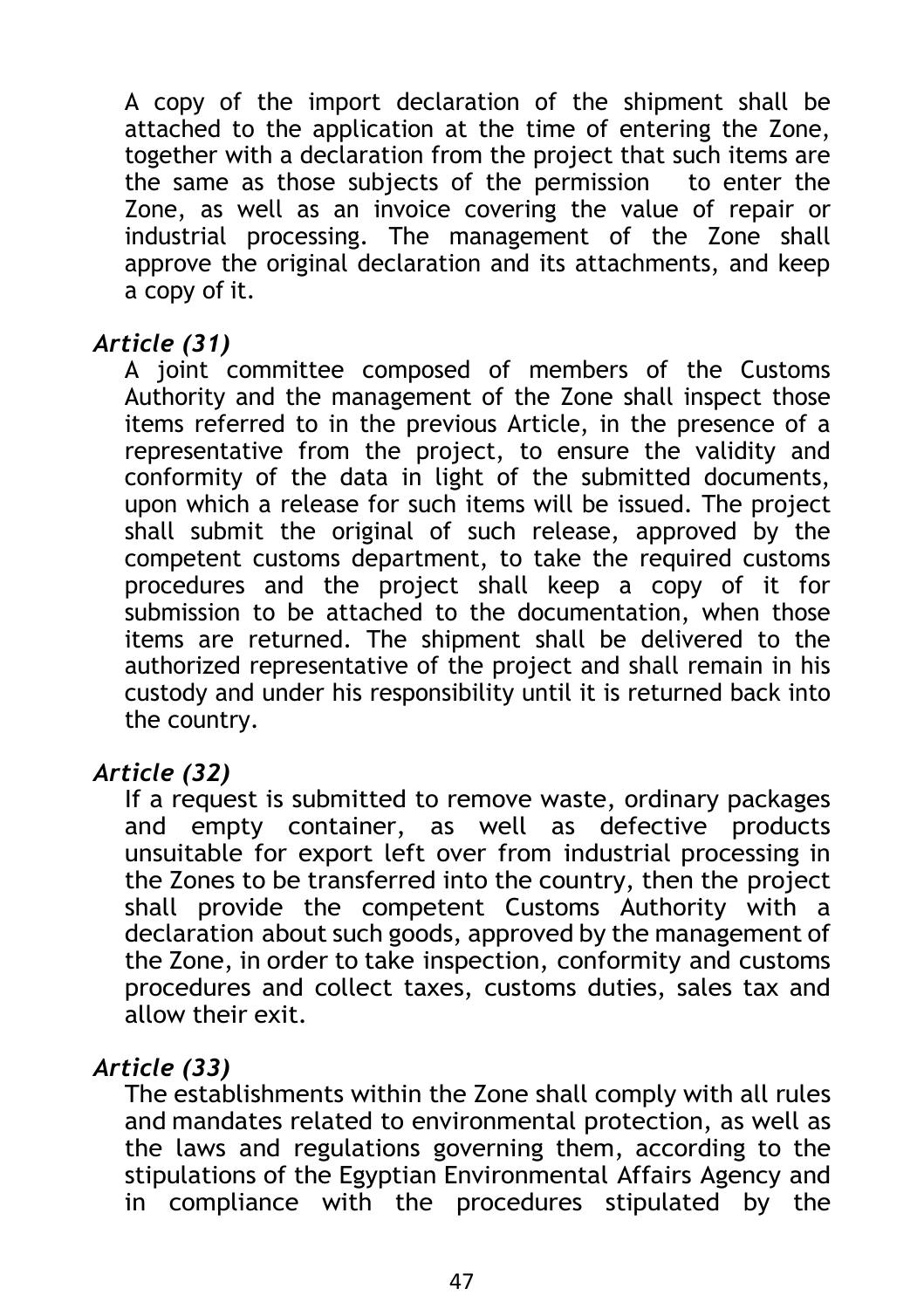A copy of the import declaration of the shipment shall be attached to the application at the time of entering the Zone, together with a declaration from the project that such items are the same as those subjects of the permission to enter the Zone, as well as an invoice covering the value of repair or industrial processing. The management of the Zone shall approve the original declaration and its attachments, and keep a copy of it.

#### *Article (31)*

A joint committee composed of members of the Customs Authority and the management of the Zone shall inspect those items referred to in the previous Article, in the presence of a representative from the project, to ensure the validity and conformity of the data in light of the submitted documents, upon which a release for such items will be issued. The project shall submit the original of such release, approved by the competent customs department, to take the required customs procedures and the project shall keep a copy of it for submission to be attached to the documentation, when those items are returned. The shipment shall be delivered to the authorized representative of the project and shall remain in his custody and under his responsibility until it is returned back into the country.

#### *Article (32)*

If a request is submitted to remove waste, ordinary packages and empty container, as well as defective products unsuitable for export left over from industrial processing in the Zones to be transferred into the country, then the project shall provide the competent Customs Authority with a declaration about such goods, approved by the management of the Zone, in order to take inspection, conformity and customs procedures and collect taxes, customs duties, sales tax and allow their exit.

#### *Article (33)*

The establishments within the Zone shall comply with all rules and mandates related to environmental protection, as well as the laws and regulations governing them, according to the stipulations of the Egyptian Environmental Affairs Agency and in compliance with the procedures stipulated by the